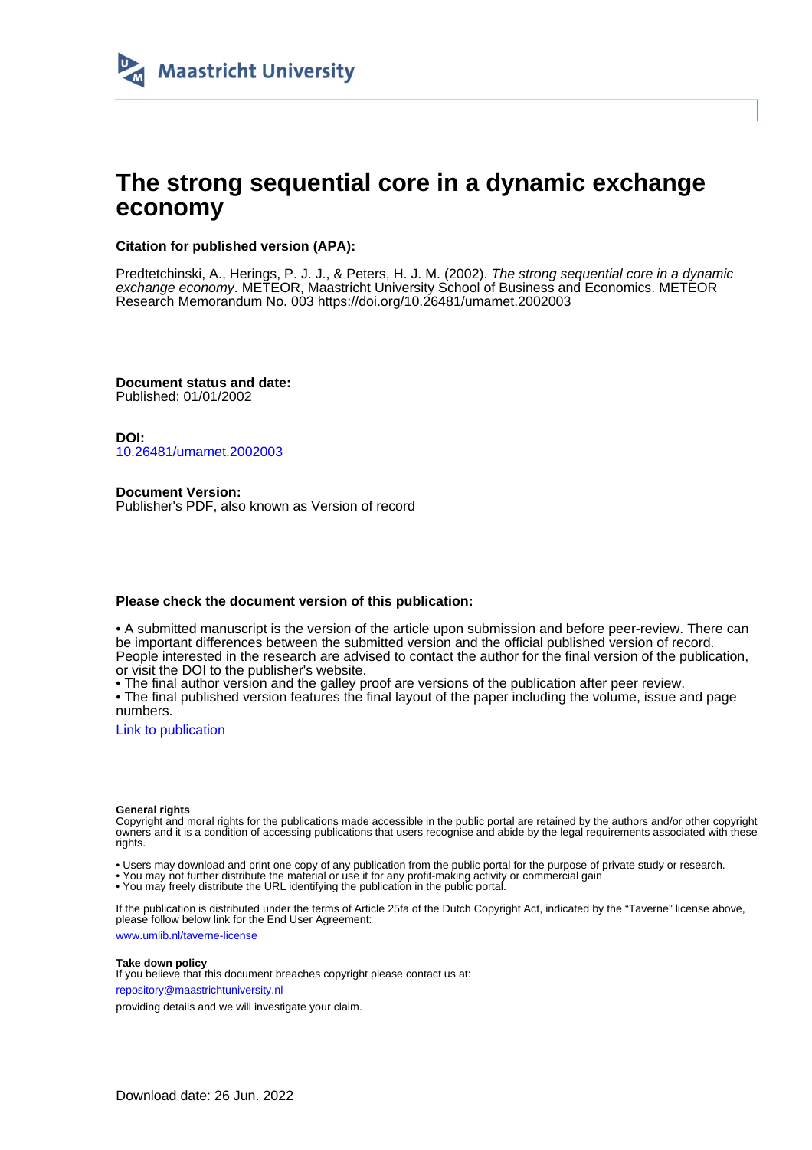

## **The strong sequential core in a dynamic exchange economy**

#### **Citation for published version (APA):**

Predtetchinski, A., Herings, P. J. J., & Peters, H. J. M. (2002). The strong sequential core in a dynamic exchange economy. METEOR, Maastricht University School of Business and Economics. METEOR Research Memorandum No. 003 <https://doi.org/10.26481/umamet.2002003>

**Document status and date:** Published: 01/01/2002

**DOI:** [10.26481/umamet.2002003](https://doi.org/10.26481/umamet.2002003)

**Document Version:** Publisher's PDF, also known as Version of record

#### **Please check the document version of this publication:**

• A submitted manuscript is the version of the article upon submission and before peer-review. There can be important differences between the submitted version and the official published version of record. People interested in the research are advised to contact the author for the final version of the publication, or visit the DOI to the publisher's website.

• The final author version and the galley proof are versions of the publication after peer review.

• The final published version features the final layout of the paper including the volume, issue and page numbers.

[Link to publication](https://cris.maastrichtuniversity.nl/en/publications/31e2303e-6c58-4ffd-a736-2762037e0c6c)

#### **General rights**

Copyright and moral rights for the publications made accessible in the public portal are retained by the authors and/or other copyright owners and it is a condition of accessing publications that users recognise and abide by the legal requirements associated with these rights.

• Users may download and print one copy of any publication from the public portal for the purpose of private study or research.

• You may not further distribute the material or use it for any profit-making activity or commercial gain

• You may freely distribute the URL identifying the publication in the public portal.

If the publication is distributed under the terms of Article 25fa of the Dutch Copyright Act, indicated by the "Taverne" license above, please follow below link for the End User Agreement:

www.umlib.nl/taverne-license

#### **Take down policy**

If you believe that this document breaches copyright please contact us at: repository@maastrichtuniversity.nl

providing details and we will investigate your claim.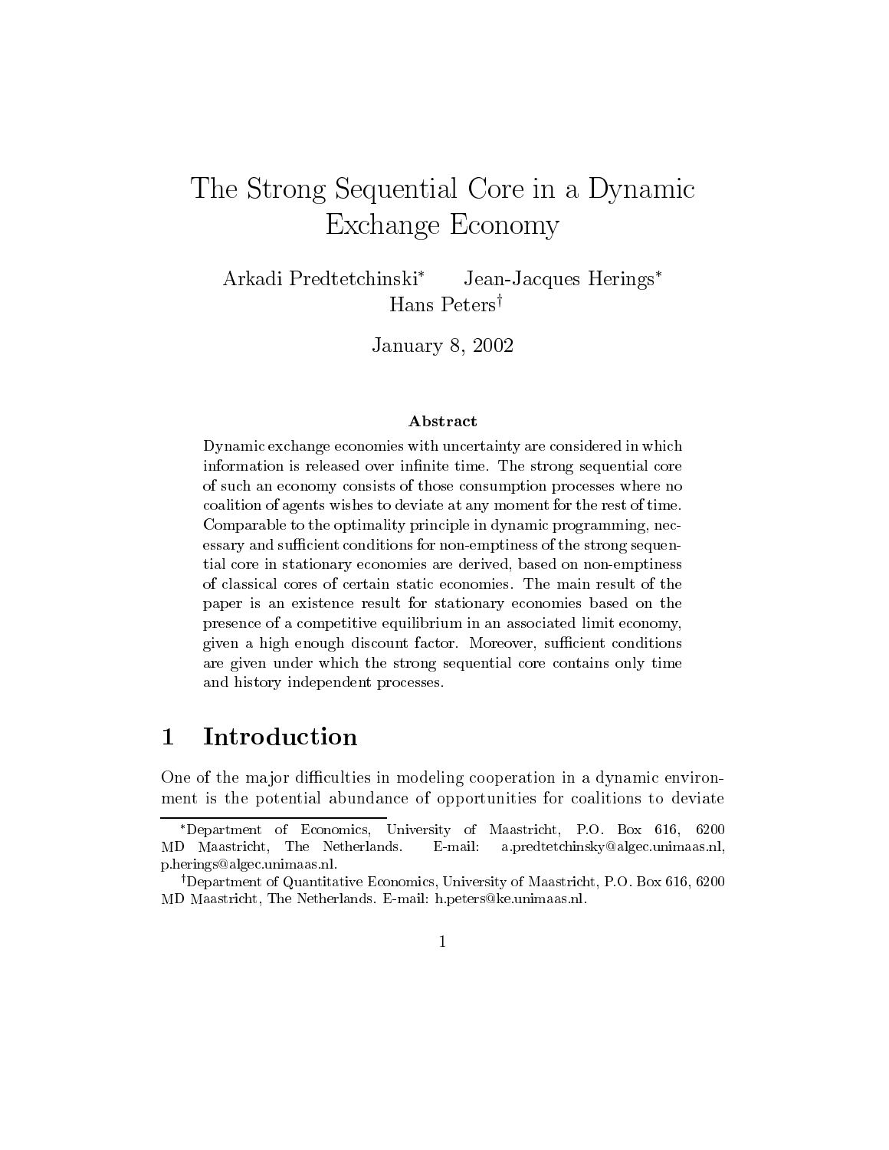# $\blacksquare$  The Strong Sequential Core in a Dynamic in a Dynamic in a Dynamic in a Dynamic in a Dynamic in a Dynamic in a Dynamic in a Dynamic in a Dynamic in a Dynamic in a Dynamic in a Dynamic in a Dynamic in a Dynamic in a  $E = E \cup E \cup E = E$   $E = E \cup E \cup E$

Arkadi Predtetchinski<sup>\*</sup> Jean-Jacques Herings<sup>\*</sup> Hans Peters<sup>†</sup>

January 8, 2002

#### Abstract

Dynamic exchange economies with uncertainty are considered in whichinformation is released over innite time. The strong sequential core of such an economy consists of those consumption processes where nocoalition of agents wishes to deviate at any moment for the rest of time.Comparable to the optimality principle in dynamic programming, necessary and sufficient conditions for non-emptiness of the strong sequential core in stationary economies are derived, based on non-emptinesspaper is an existence result for stationary economies based on the presence of a competitive equilibrium in an associated limit economy, $\alpha$  is a discount factor factor. Moreover, such a such a such a such a such a such a such a such a such a such a such a such a such a such a such a such a such a such a such a such a such a such a such a such a such a su are given under which the strong sequential core contains only times.  $\sim$ and history independent processes.

#### **Introduction**  $\mathbf 1$

One of the major difficulties in modeling cooperation in a dynamic environment is the potential abundance of opportunities for coalitions to deviate

Department of Economics, University ofMaastricht, P.O. Box 616, <sup>6200</sup> MD Maastricht, The Netherlands. E-mail: a.predtetchinsky@algec.unimaas.nl, p.herings@algec.unimaas.nl.

<sup>&</sup>lt;sup>†</sup>Department of Quantitative Economics, University of Maastricht, P.O. Box 616, 6200 MD Maastricht, The Netherlands. E-mail: h.peters@ke.unimaas.nl.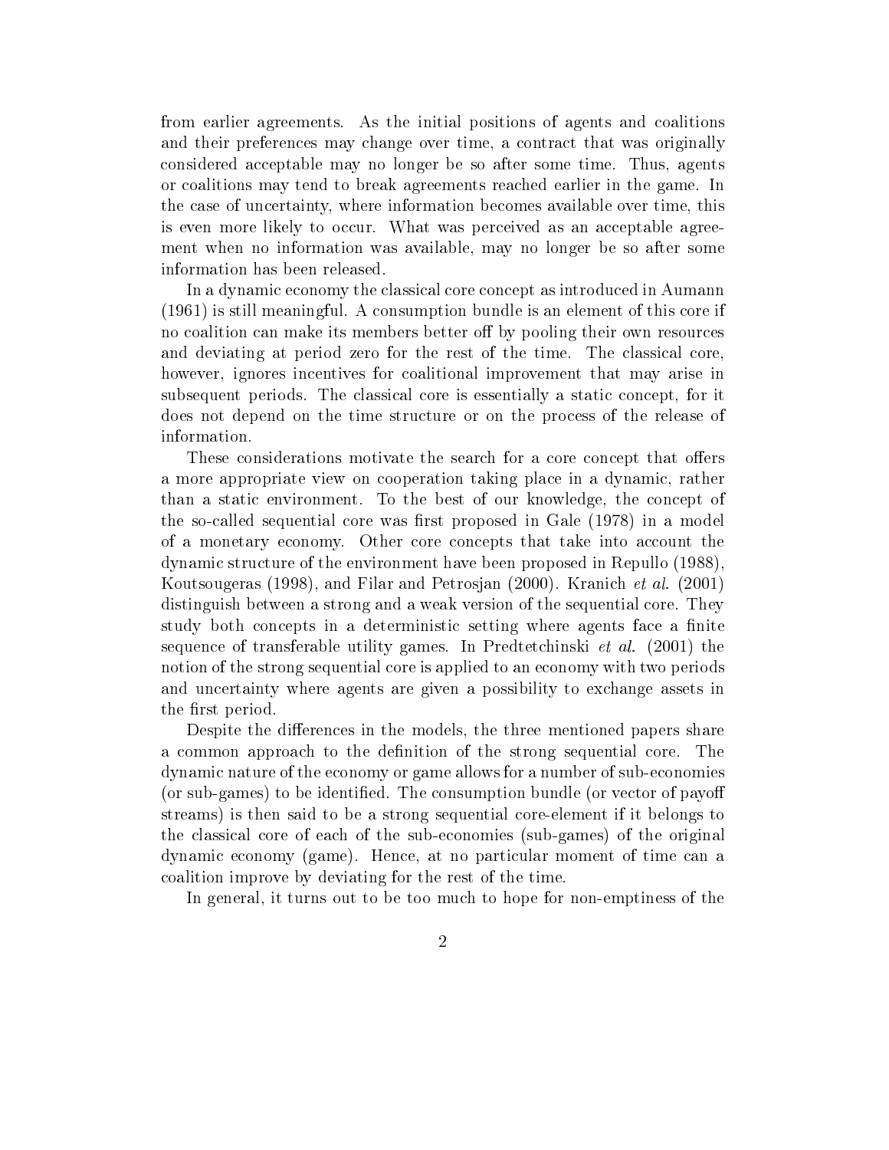from earlier agreements. As the initial positions of agents and coalitions and their preferences may change over time, a contract that was originally considered acceptable may no longer be so after some time. Thus, agents or coalitions may tend to break agreements reached earlier in the game. In the case of uncertainty, where information becomes available over time, this is even more likely to occur. What was perceived as an acceptable agreement when no information was available, may no longer be so after some information has been released.

In a dynamic economy the classical core concept as introduced in Aumann (1961) is still meaningful. A consumption bundle is an element of this core if no coalition can make its members better off by pooling their own resources and deviating at period zero for the rest of the time. The classical core, however, ignores incentives for coalitional improvement that may arise in subsequent periods. The classical core is essentially a static concept, for it does not depend on the time structure or on the process of the release of information.

These considerations motivate the search for a core concept that offers a more appropriate view on cooperation taking place in a dynamic, rather than a static environment. To the best of our knowledge, the concept of the so-called sequential core was first proposed in Gale (1978) in a model of a monetary economy. Other core concepts that take into account the dynamic structure of the environment have been proposed in Repullo (1988), Koutsougeras (1998), and Filar and Petrosjan (2000). Kranich et al. (2001) distinguish between a strong and a weak version of the sequential core. They study both concepts in a deterministic setting where agents face a finite sequence of transferable utility games. In Predtetchinski et al. (2001) the notion of the strong sequential core is applied to an economy with two periods and uncertainty where agents are given a possibility to exchange assets in the first period.

Despite the differences in the models, the three mentioned papers share a common approach to the definition of the strong sequential core. The dynamic nature of the economy or game allows for a number of sub-economies (or sub-games) to be identied. The consumption bundle (or vector of payo streams) is then said to be a strong sequential core-element if it belongs to the classical core of each of the sub-economies (sub-games) of the original dynamic economy (game). Hence, at no particular moment of time can a coalition improve by deviating for the rest of the time.

In general, it turns out to be too much to hope for non-emptiness of the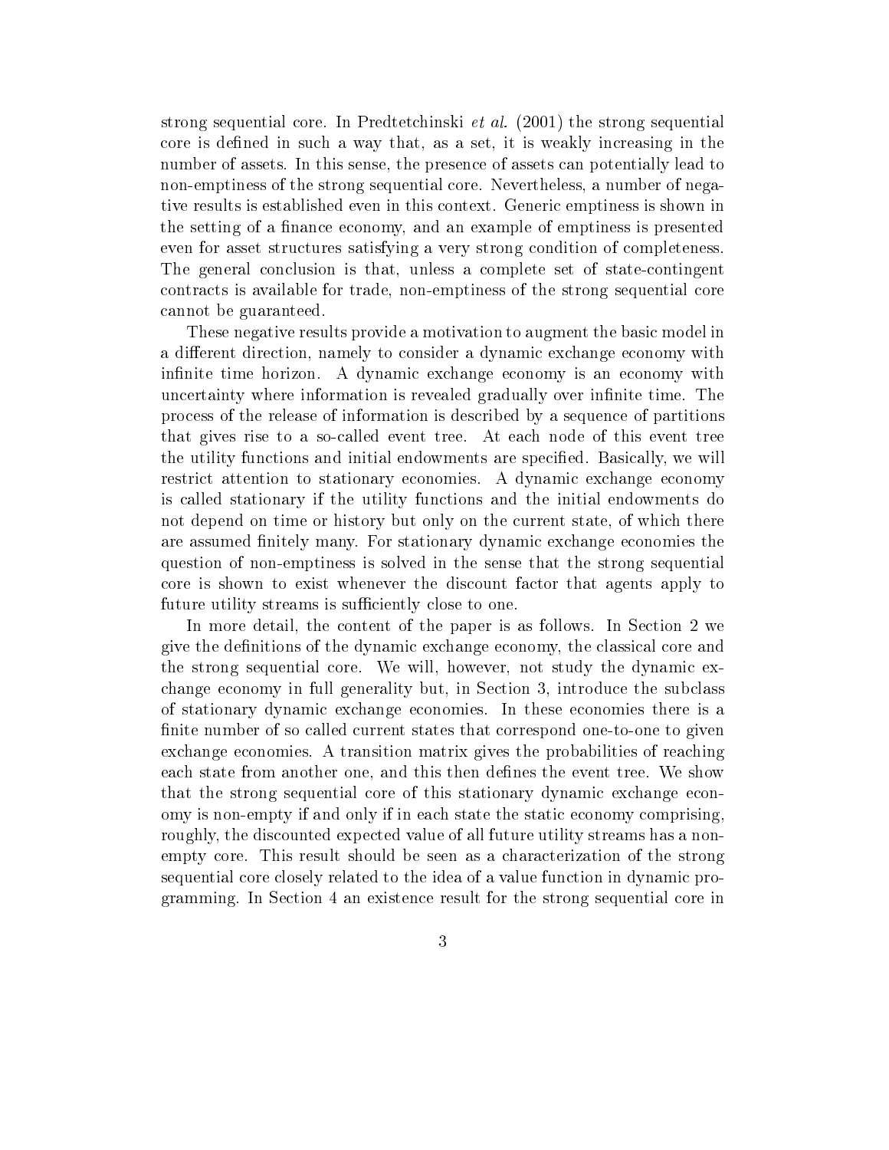strong sequential core. In Predtetchinski et al. (2001) the strong sequential core is defined in such a way that, as a set, it is weakly increasing in the number of assets. In this sense, the presence of assets can potentially lead to non-emptiness of the strong sequential core. Nevertheless, a number of negative results is established even in this context. Generic emptiness is shown in the setting of a finance economy, and an example of emptiness is presented even for asset structures satisfying a very strong condition of completeness. The general conclusion is that, unless a complete set of state-contingent contracts is available for trade, non-emptiness of the strong sequential core cannot be guaranteed.

These negative results provide a motivation to augment the basic model in a different direction, namely to consider a dynamic exchange economy with infinite time horizon. A dynamic exchange economy is an economy with uncertainty where information is revealed gradually over infinite time. The process of the release of information is described by a sequence of partitions that gives rise to a so-called event tree. At each node of this event tree the utility functions and initial endowments are specified. Basically, we will restrict attention to stationary economies. A dynamic exchange economy is called stationary if the utility functions and the initial endowments do not depend on time or history but only on the current state, of which there are assumed finitely many. For stationary dynamic exchange economies the question of non-emptiness is solved in the sense that the strong sequential core is shown to exist whenever the discount factor that agents apply to future utility streams is sufficiently close to one.

In more detail, the content of the paper is as follows. In Section 2 we give the definitions of the dynamic exchange economy, the classical core and the strong sequential core. We will, however, not study the dynamic exchange economy in full generality but, in Section 3, introduce the subclass of stationary dynamic exchange economies. In these economies there is a finite number of so called current states that correspond one-to-one to given exchange economies. A transition matrix gives the probabilities of reaching each state from another one, and this then defines the event tree. We show that the strong sequential core of this stationary dynamic exchange economy is non-empty if and only if in each state the static economy comprising, roughly, the discounted expected value of all future utility streams has a nonempty core. This result should be seen as a characterization of the strong sequential core closely related to the idea of a value function in dynamic programming. In Section 4 an existence result for the strong sequential core in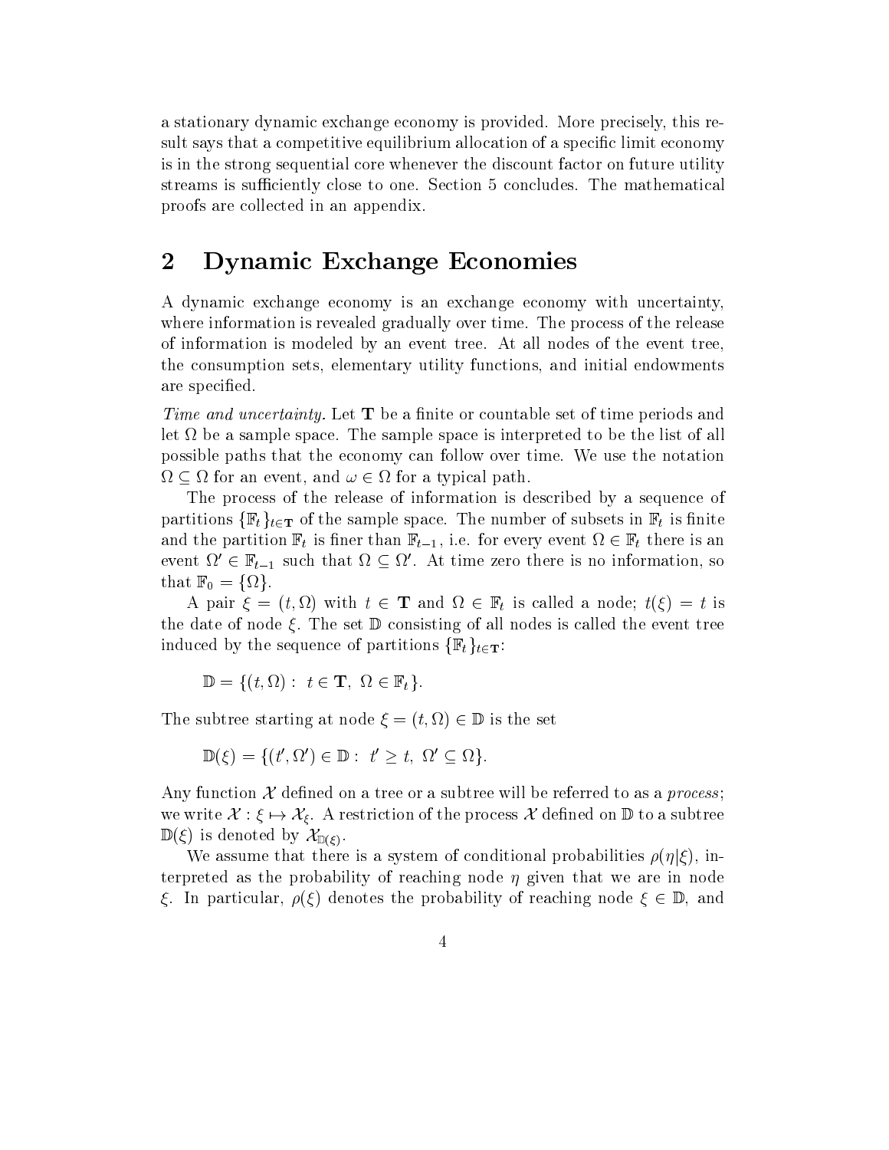a stationary dynamic exchange economy is provided. More precisely, this result says that a competitive equilibrium allocation of a specific limit economy is in the strong sequential core whenever the discount factor on future utility streams is sufficiently close to one. Section 5 concludes. The mathematical proofs are collected in an appendix.

## 2 Dynamic Exchange Economies

A dynamic exchange economy is an exchange economy with uncertainty, where information is revealed gradually over time. The process of the release of information is modeled by an event tree. At all nodes of the event tree, the consumption sets, elementary utility functions, and initial endowments are specied.

Time and uncertainty. Let  $T$  be a finite or countable set of time periods and let be a sample space. The sample space is interpreted to be the list of all possible paths that the economy can follow over time. We use the notation  $\Omega \subseteq \Omega$  for an event, and  $\omega \in \Omega$  for a typical path.

The process of the release of information is described by a sequence of partitions  $\{\mathbb{F}_t\}_{t\in\mathbf{T}}$  of the sample space. The number of subsets in  $\mathbb{F}_t$  is finite and the partition  $\alpha$  is the partition function  $\mu=1$  , i.e. for every every event  $\alpha=1$  , where is and there is an event  $\Omega \in \mathbb{F}_{t-1}$  such that  $\Omega \subseteq \Omega$ . At time zero there is no information, so that  $\mathbf{r} = \mathbf{0}$  and  $\mathbf{r} = \mathbf{0}$  and  $\mathbf{r} = \mathbf{0}$ 

A pair  $\xi = (t, \Omega)$  with  $t \in \mathbf{T}$  and  $\Omega \in \mathbb{F}_t$  is called a node;  $t(\xi) = t$  is the date of node  $\xi$ . The set  $\mathbb D$  consisting of all nodes is called the event tree induced by the sequence of partitions  $\{\mathbb{F}_t\}_{t\in\mathbf{T}}$ :

$$
\mathbb{D} = \{ (t, \Omega) : t \in \mathbf{T}, \Omega \in \mathbb{F}_t \}.
$$

The subtree starting at node  $\xi = (t, \Omega) \in \mathbb{D}$  is the set

 $\mathbb{D}(\xi) = \{(t', \Omega') \in \mathbb{D}: t' \geq t, \Omega' \subseteq \Omega\}.$ 

Any function  $\mathcal X$  defined on a tree or a subtree will be referred to as a *process*; we write  $\mathcal{X}: \xi \mapsto \mathcal{X}_{\xi}$ . A restriction of the process  $\mathcal{X}$  defined on  $\mathbb{D}$  to a subtree  $\mathbb{D}(\xi)$  is denoted by  $\mathcal{X}_{\mathbb{D}(\xi)}$ .

We assume that there is a system of conditional probabilities  $\rho(\eta|\xi)$ , interpreted as the probability of reaching node  $\eta$  given that we are in node  $\xi$ . In particular,  $\rho(\xi)$  denotes the probability of reaching node  $\xi \in \mathbb{D}$ , and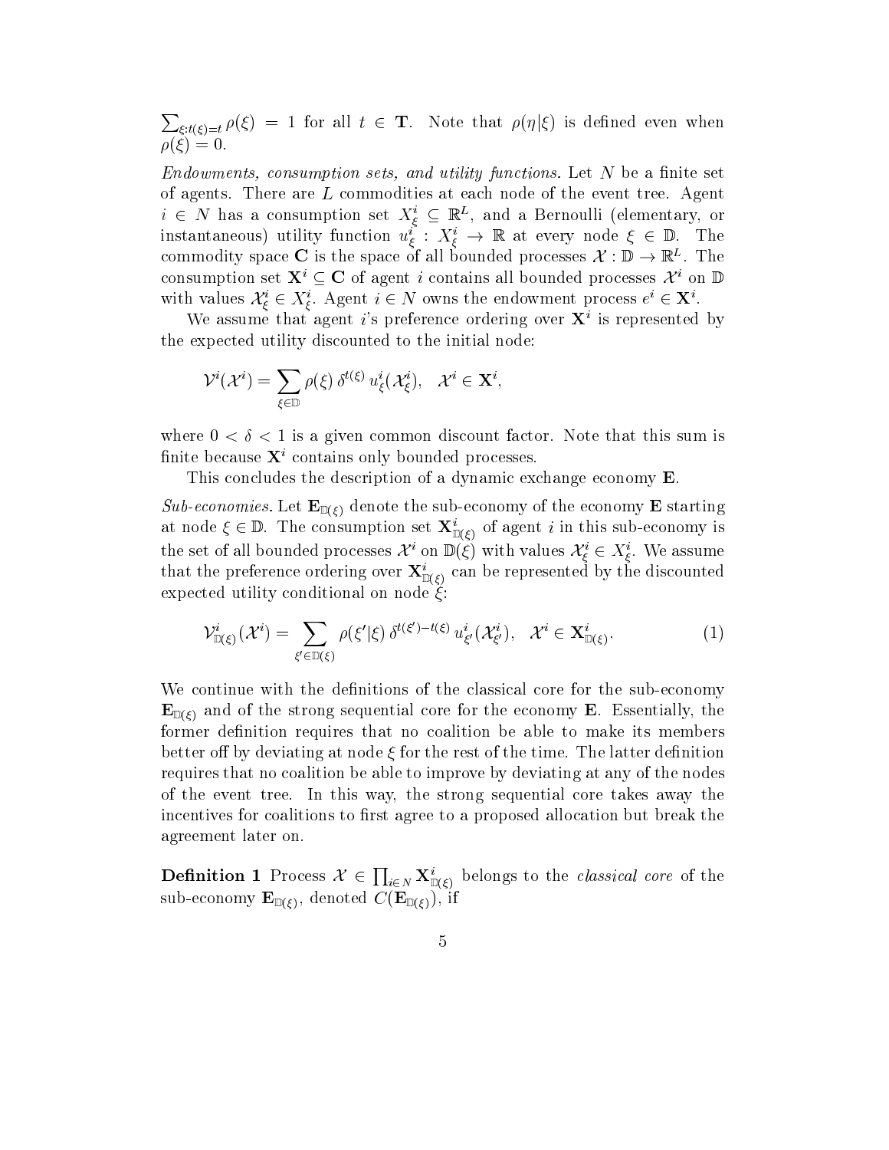$\sum_{\xi: t(\xi)=t} \rho(\xi) = 1$  for all  $t \in \mathbf{T}$ . Note that  $\rho(\eta|\xi)$  is defined even when  $\rho(\xi) = 0.$ 

 $Endowments, consumption sets, and utility functions. Let N be a finite set$ of agents. There are L commodities at each node of the event tree. Agent  $i \in N$  has a consumption set  $X_{\varepsilon}^i \subseteq \mathbb{R}^L$ , and a Bernoulli (elementary, or instantaneous) utility function  $u_{\xi}^i : X_{\xi}^i \to \mathbb{R}$  at every node  $\xi \in \mathbb{D}$ . The commodity space  $\bigcup$  is the space of all bounded processes  $\Lambda : \mathbb{D} \to \mathbb{R}^+$ . The consumption set  $X^i \subseteq C$  of agent i contains all bounded processes  $\mathcal{X}^i$  on  $\mathbb{D}$ with values  $\mathcal{X}_{\xi}^i \in X_{\xi}^i$ . Agent  $i \in N$  owns the endowment process  $e^i \in \mathbf{X}^i$ .  $\sim$  . The contract of the contract of the contract of the contract of the contract of the contract of the contract of the contract of the contract of the contract of the contract of the contract of the contract of the co

We assume that agent i's preference ordering over  $X^i$  is represented by the expected utility discounted to the initial node:

$$
\mathcal{V}^i(\mathcal{X}^i)=\sum_{\xi\in\mathbb{D}}\rho(\xi)\,\delta^{t(\xi)}\,u^i_\xi(\mathcal{X}^i_\xi),\ \ \mathcal{X}^i\in\mathbf{X}^i,
$$

where  $0 < \delta < 1$  is a given common discount factor. Note that this sum is finite because  $X^i$  contains only bounded processes.

This concludes the description of a dynamic exchange economy E.

Sub-economies. Let  $\mathbf{E}_{\mathbb{D}(\xi)}$  denote the sub-economy of the economy E starting at node  $\xi \in \mathbb{D}$ . The consumption set  $\mathbf{X}^i_{\mathbb{D}(\xi)}$  of agent i in this sub-economy is the set of all bounded processes  $\mathcal{X}^i$  on  $\mathbb{D}(\xi)$  with values  $\mathcal{X}^i_\xi\in X^i_\xi.$  We assume that the preference ordering over  $\mathbf{A}_{\mathbb{D}\left(\mathcal{E}\right)}$  can be represented by the discounted expected utility conditional on node  $\check{\xi}$ :

$$
\mathcal{V}_{\mathbb{D}(\xi)}^{i}(\mathcal{X}^{i}) = \sum_{\xi' \in \mathbb{D}(\xi)} \rho(\xi'|\xi) \, \delta^{t(\xi') - t(\xi)} \, u_{\xi'}^{i}(\mathcal{X}_{\xi'}^{i}), \quad \mathcal{X}^{i} \in \mathbf{X}_{\mathbb{D}(\xi)}^{i}.
$$

We continue with the definitions of the classical core for the sub-economy  $\mathbf{E}_{\mathbb{D}(\varepsilon)}$  and of the strong sequential core for the economy **E**. Essentially, the former definition requires that no coalition be able to make its members better off by deviating at node  $\xi$  for the rest of the time. The latter definition requires that no coalition be able to improve by deviating at any of the nodes of the event tree. In this way, the strong sequential core takes away the incentives for coalitions to first agree to a proposed allocation but break the agreement later on.

**Definition 1** Process  $\mathcal{X} \in \prod_{i \in N} \mathbf{X}_{\mathbb{D}(i)}^i$  belongs to the *classical core* of the sub-economy  $\mathbf{E}_{\mathbb{D}(\xi)}$ , denoted  $C(\mathbf{E}_{\mathbb{D}(\xi)})$ , if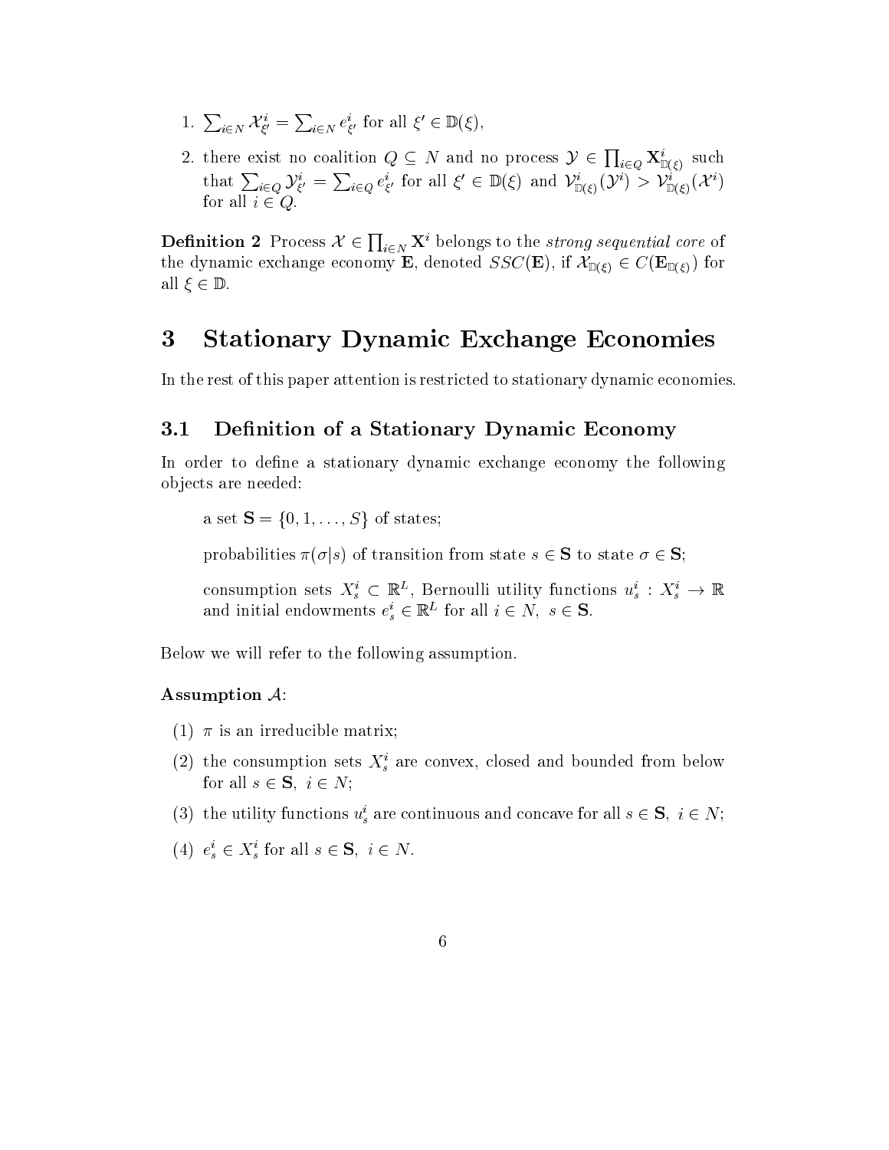- 1.  $\sum_{i\in N} \mathcal{X}_{\xi}^i = \sum_{i\in N} e_{\xi}^i$  for all  $\xi' \in \mathbb{D}(\xi)$ ,
- 2. there exist no coalition  $Q \subseteq N$  and no process  $\mathcal{Y} \in \prod_{i \in Q} \mathbf{X}_{\mathbb{D}(\mathcal{E})}^i$  such that  $\sum_{i\in Q} {\mathcal{Y}}_{\xi'}^i = \sum_{i\in Q} e_{\xi'}^i$  for all  $\xi' \in \mathbb{D}(\xi)$  and  $\mathcal{Y}_{\mathbb{D}(\xi)}^i({\mathcal{Y}}^i) > \mathcal{Y}_{\mathbb{D}(\xi)}^i({\mathcal{X}}^i)$ for all  $i \in Q$ .

**Definition 2** Process  $\mathcal{X} \in \prod_{i \in N} \mathbf{X}^i$  belongs to the *strong sequential core* of the dynamic exchange economy **E**, denoted  $SSC(\mathbf{E})$ , if  $\mathcal{X}_{\mathbb{D}(\xi)} \in C(\mathbf{E}_{\mathbb{D}(\xi)})$  for all  $\xi \in \mathbb{D}$ .

## 3 Stationary Dynamic Exchange Economies

In the rest of this paper attention is restricted to stationary dynamic economies.

#### 3.1Definition of a Stationary Dynamic Economy

In order to define a stationary dynamic exchange economy the following objects are needed:

a set  $S = \{0, 1, \ldots, S\}$  of states;

probabilities  $\pi(\sigma|s)$  of transition from state  $s \in S$  to state  $\sigma \in S$ ;

consumption sets  $X_s^i \subset \mathbb{R}^L$ , Bernoulli utility functions  $u_s^i: X_s^i \to \mathbb{R}$ and initial endowments  $e_s^i \in \mathbb{R}^L$  for all  $i \in N$ ,  $s \in S$ .

Below we will refer to the following assumption.

### Assumption  $\mathcal{A}$ :

- (1)  $\pi$  is an irreducible matrix;
- (2) the consumption sets  $X_s^i$  are convex, closed and bounded from below for all  $s \in \mathbf{S}$ ,  $i \in N$ ;
- (3) the utility functions  $u_s^i$  are continuous and concave for all  $s \in \mathbf{S}$ ,  $i \in N$ ;
- (4)  $e_s^i \in X_s^i$  for all  $s \in \mathbf{S}, i \in N$ .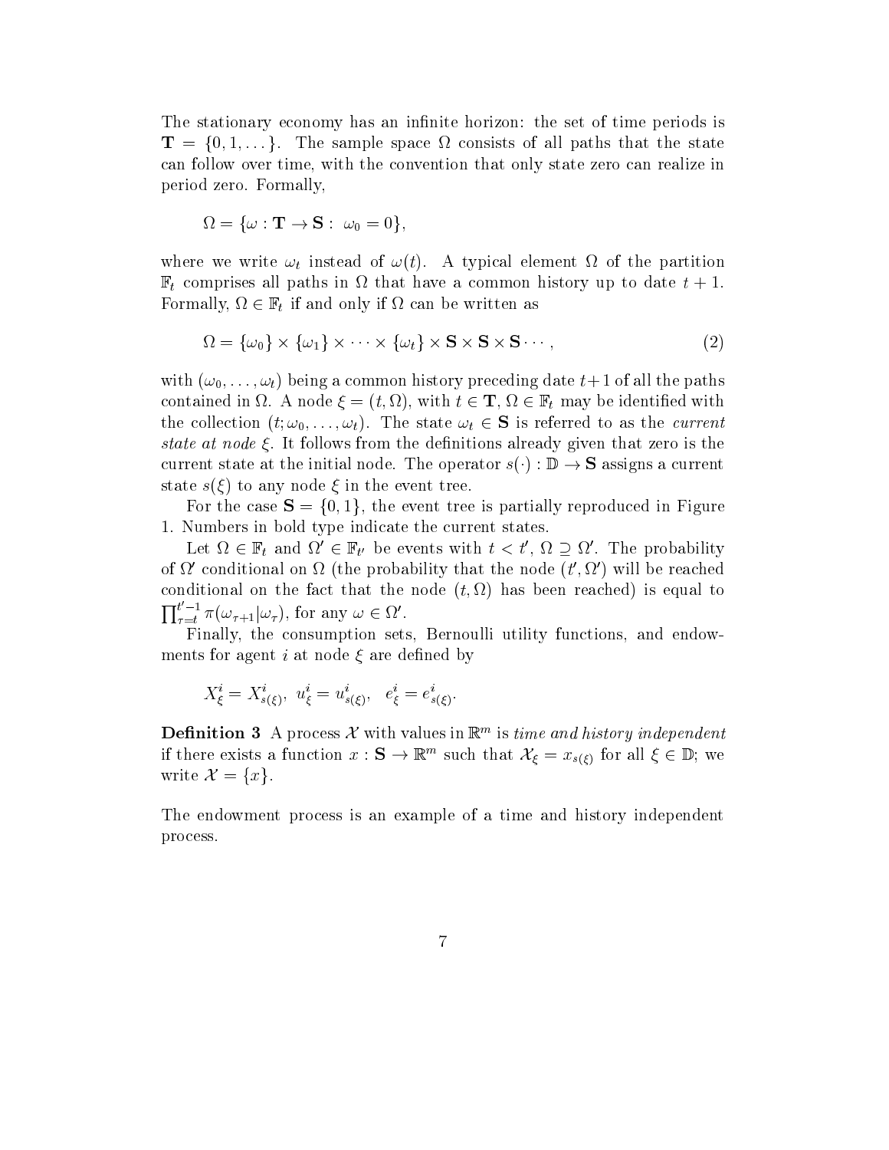The stationary economy has an infinite horizon: the set of time periods is  $\blacksquare$   $\blacksquare$   $\blacksquare$   $\blacksquare$   $\blacksquare$   $\blacksquare$   $\blacksquare$   $\blacksquare$   $\blacksquare$   $\blacksquare$   $\blacksquare$   $\blacksquare$   $\blacksquare$   $\blacksquare$   $\blacksquare$   $\blacksquare$   $\blacksquare$   $\blacksquare$   $\blacksquare$   $\blacksquare$   $\blacksquare$   $\blacksquare$   $\blacksquare$   $\blacksquare$   $\blacksquare$   $\blacksquare$   $\blacksquare$   $\blacksquare$   $\blacksquare$   $\blacksquare$   $\blacksquare$   $\blacks$ can follow over time, with the convention that only state zero can realize in period zero. Formally,

$$
\Omega = \{\omega : \mathbf{T} \to \mathbf{S} : \ \omega_0 = 0\},\
$$

where we write  $\omega_t$  instead of  $\omega(t)$ . A typical element  $\Omega$  of the partition  $\mathbb{F}_t$  comprises all paths in  $\Omega$  that have a common history up to date  $t + 1$ .  $\tau$  if the formally,  $\tau$  if and only if  $\tau$  if and only if the written as a can be written as a contract of  $\tau$ 

$$
\Omega = \{\omega_0\} \times \{\omega_1\} \times \cdots \times \{\omega_t\} \times \mathbf{S} \times \mathbf{S} \times \mathbf{S} \cdots,
$$
\n(2)

with  $(\omega_0,\ldots,\omega_t)$  being a common history preceding date  $t+1$  of all the paths contained in  $\Omega$ . A node  $\xi = (t, \Omega)$ , with  $t \in \mathbf{T}, \Omega \in \mathbb{F}_t$  may be identified with the collection  $(t; \omega_0,..., \omega_t)$ . The state  $\omega_t \in \mathbf{S}$  is referred to as the *current* state at node  $\xi$ . It follows from the definitions already given that zero is the current state at the initial node. The operator  $s(\cdot): \mathbb{D} \to \mathbf{S}$  assigns a current state  $s(\xi)$  to any node  $\xi$  in the event tree.

For the case  $S = \{0, 1\}$ , the event tree is partially reproduced in Figure 1. Numbers in bold type indicate the current states.

Let  $\Omega \in \mathbb{F}_t$  and  $\Omega' \in \mathbb{F}_{t'}$  be events with  $t < t'$ ,  $\Omega \supseteq \Omega'$ . The probability of  $\Omega'$  conditional on  $\Omega$  (the probability that the node  $(t', \Omega')$  will be reached conditional on the fact that the node  $(t,\Omega)$  has been reached) is equal to  $\prod_{\tau=t}^{t-1} \pi(\omega_{\tau+1}|\omega_{\tau}),$  for any  $\omega \in \Omega'.$ 

Finally, the consumption sets, Bernoulli utility functions, and endowments for agent i at node  $\xi$  are defined by

:

$$
X^i_{\xi}=X^i_{s(\xi)},\,\,u^i_{\xi}=u^i_{s(\xi)},\ \ e^i_{\xi}=e^i_{s(\xi)}.
$$

**Definition 5** A process  $\lambda$  with values in  $\mathbb{R}^m$  is time and history independent if there exists a function  $x : \mathbf{S} \to \mathbb{R}^m$  such that  $\mathcal{X}_{\xi} = x_{s(\xi)}$  for all  $\xi \in \mathbb{D}$ ; we write  $\mathcal{X} = \{x\}.$ <br>The endowment process is an example of a time and history independent

process.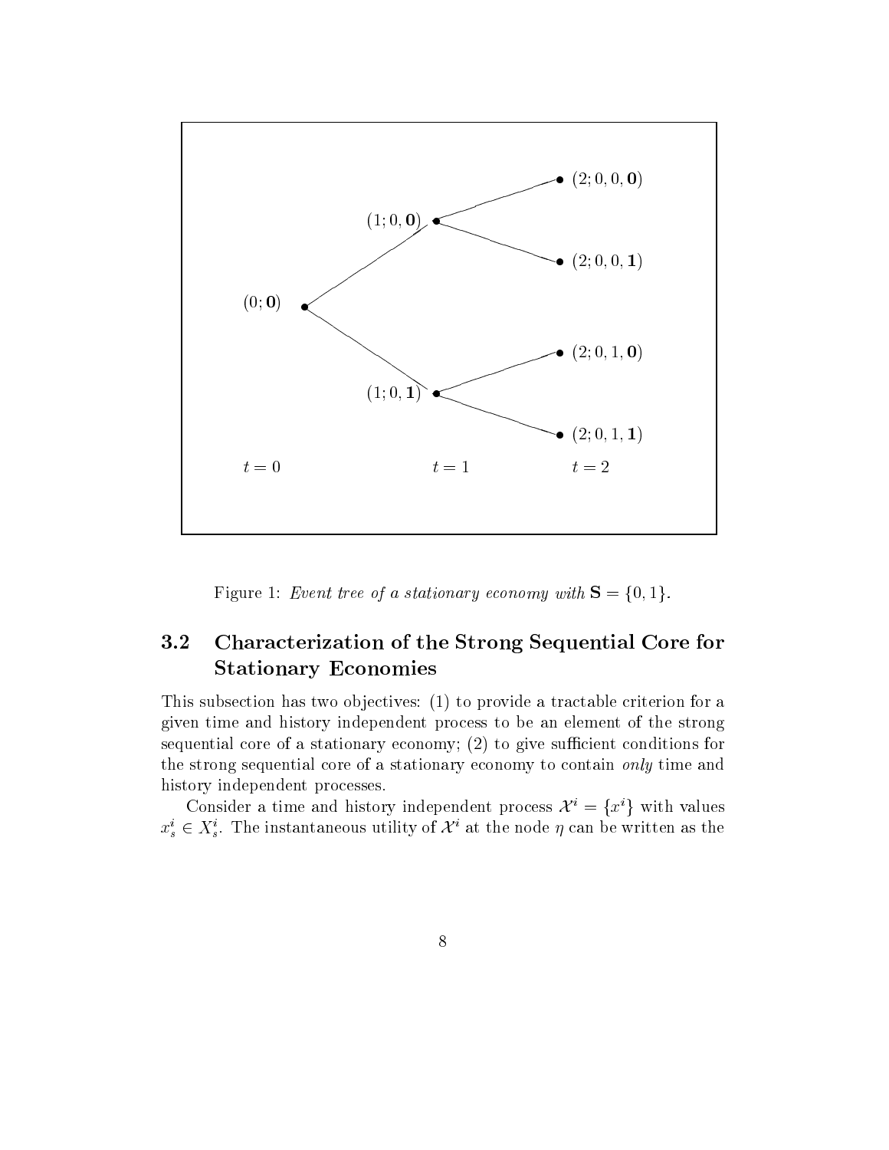

Figure 1: Event tree of a stationary economy with  $S = \{0, 1\}$ .

#### 3.2 Characterization of the Strong Sequential Core for Stationary Economies

This subsection has two objectives: (1) to provide a tractable criterion for a given time and history independent process to be an element of the strong sequential core of a stationary economy;  $(2)$  to give sufficient conditions for the strong sequential core of a stationary economy to contain only time and history independent processes.

Consider a time and history independent process  $\mathcal{X}^i = \{x^i\}$  with values  $x_s^i \in X_s^i$ . The instantaneous utility of  $\mathcal{X}^i$  at the node  $\eta$  can be written as the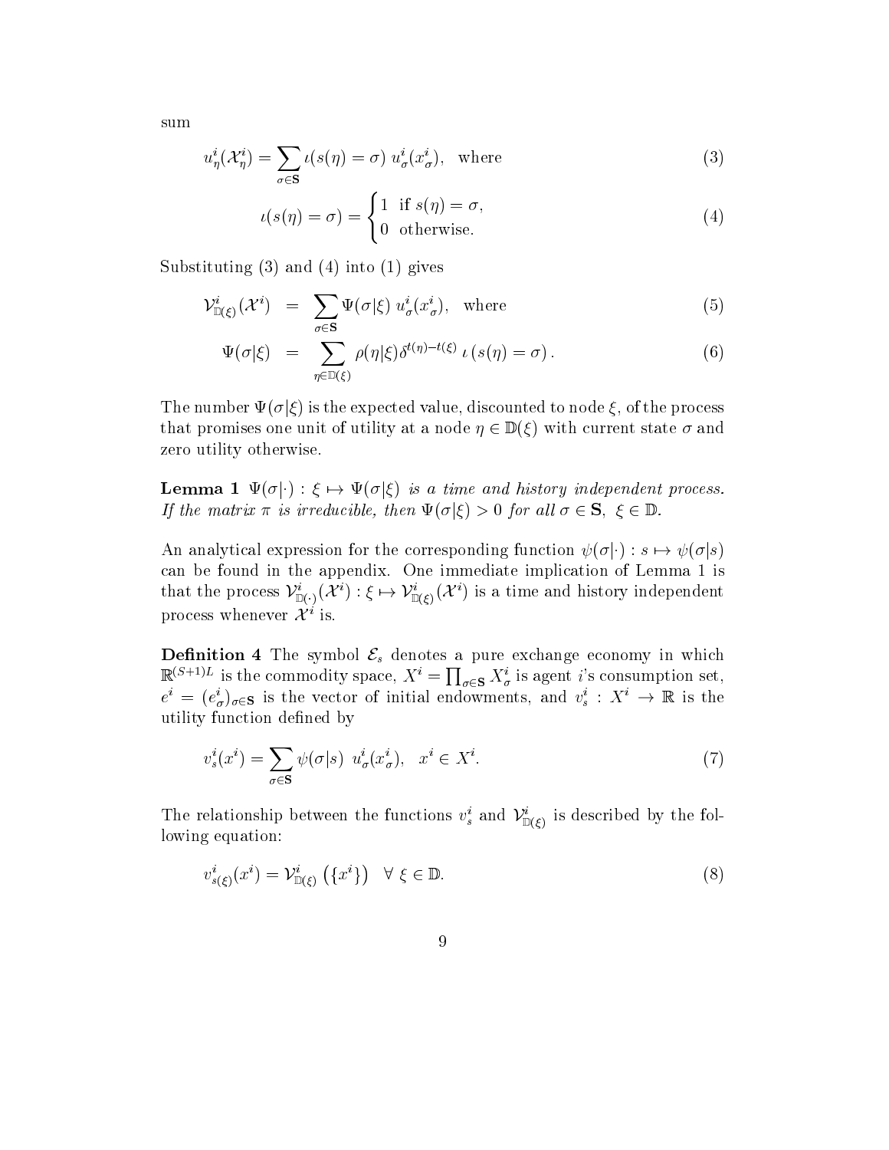sum

$$
u_{\eta}^{i}(\mathcal{X}_{\eta}^{i}) = \sum_{\sigma \in \mathbf{S}} \iota(s(\eta) = \sigma) u_{\sigma}^{i}(x_{\sigma}^{i}), \text{ where}
$$
\n(3)

$$
u(s(\eta) = \sigma) = \begin{cases} 1 & \text{if } s(\eta) = \sigma, \\ 0 & \text{otherwise.} \end{cases}
$$
 (4)

Substituting  $(3)$  and  $(4)$  into  $(1)$  gives

$$
\mathcal{V}_{\mathbb{D}(\xi)}^{i}(\mathcal{X}^{i}) = \sum_{\sigma \in \mathbf{S}} \Psi(\sigma | \xi) u_{\sigma}^{i}(x_{\sigma}^{i}), \text{ where}
$$
\n(5)

$$
\Psi(\sigma|\xi) = \sum_{\eta \in \mathbb{D}(\xi)} \rho(\eta|\xi) \delta^{t(\eta) - t(\xi)} \iota(s(\eta) = \sigma).
$$
\n(6)

The number  $\Psi(\sigma|\xi)$  is the expected value, discounted to node  $\xi$ , of the process that promises one unit of utility at a node  $\eta \in \mathbb{D}(\xi)$  with current state  $\sigma$  and zero utility otherwise.

**Lemma 1**  $\Psi(\sigma|\cdot) : \xi \mapsto \Psi(\sigma|\xi)$  is a time and history independent process. If the matrix  $\pi$  is irreducible, then  $\Psi(\sigma|\xi) > 0$  for all  $\sigma \in \mathbf{S}, \xi \in \mathbb{D}$ .

An analytical expression for the corresponding function  $\psi(\sigma|\cdot) : s \mapsto \psi(\sigma|s)$ can be found in the appendix. One immediate implication of Lemma 1 is that the process  $\mathcal{V}^i_{\mathbb{D}(\cdot)}(\mathcal{X}^i):\xi\mapsto \mathcal{V}^i_{\mathbb{D}(\xi)}(\mathcal{X}^i)$  is a time and history independent process whenever  $\mathcal{X}^i$  is.

**Definition 4** The symbol  $\mathcal{E}_s$  denotes a pure exchange economy in which  $\mathbb{R}^{(S+1)L}$  is the commodity space,  $X^i = \prod_{\sigma \in S} X^i_{\sigma}$  is agent i's consumption set,  $e^i = (e^i_{\sigma})_{\sigma \in \mathbf{S}}$  is the vector of initial endowments, and  $v^i_s : X^i \to \mathbb{R}$  is the utility function defined by

$$
v_s^i(x^i) = \sum_{\sigma \in \mathbf{S}} \psi(\sigma|s) \ u_\sigma^i(x_\sigma^i), \quad x^i \in X^i. \tag{7}
$$

The relationship between the functions  $v_s$  and  $V_{\mathbb{D}(\xi)}^*$  is described by the following equation:

$$
v_{s(\xi)}^i(x^i) = \mathcal{V}_{\mathbb{D}(\xi)}^i \left( \{ x^i \} \right) \quad \forall \xi \in \mathbb{D}.\tag{8}
$$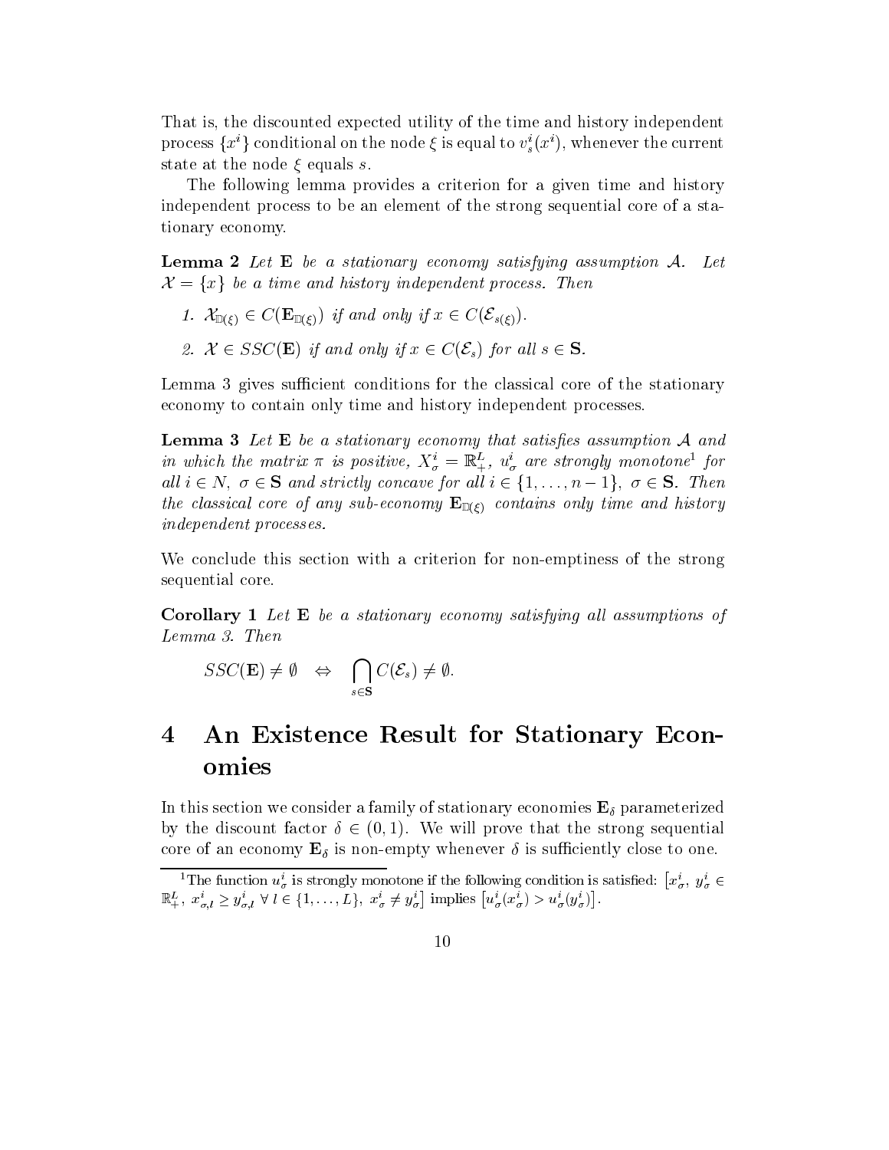That is, the discounted expected utility of the time and history independent process  $\{x^i\}$  conditional on the node  $\xi$  is equal to  $v^i_s(x^i)$ , whenever the current state at the node  $\xi$  equals s.

The following lemma provides a criterion for a given time and history independent process to be an element of the strong sequential core of a stationary economy.

**Lemma 2** Let  $E$  be a stationary economy satisfying assumption  $A$ . Let  $\mathcal{X} = \{x\}$  be a time and history independent process. Then

- 1.  $\mathcal{X}_{\mathbb{D}(\xi)} \in C(\mathbf{E}_{\mathbb{D}(\xi)})$  if and only if  $x \in C(\mathcal{E}_{s(\xi)})$ .
- 2.  $\mathcal{X} \in SSC(\mathbf{E})$  if and only if  $x \in C(\mathcal{E}_s)$  for all  $s \in \mathbf{S}$ .

Lemma 3 gives sufficient conditions for the classical core of the stationary economy to contain only time and history independent processes.

**Lemma 3** Let  $E$  be a stationary economy that satisfies assumption  $A$  and in which the matrix  $\pi$  is positive,  $X^i_\sigma = \mathbb{R}^L_+$ ,  $u^i_\sigma$  are strongly monotone<sup>1</sup> for all  $i \in N$ ,  $\sigma \in S$  and strictly concave for all  $i \in \{1,\ldots,n-1\}$ ,  $\sigma \in S$ . Then the classical core of any sub-economy  $\mathbf{E}_{\mathbb{D}(\xi)}$  contains only time and history independent processes.

We conclude this section with a criterion for non-emptiness of the strong sequential core.

**Corollary 1** Let  $E$  be a stationary economy satisfying all assumptions of Lemma 3. Then

$$
SSC(\mathbf{E}) \neq \emptyset \Leftrightarrow \bigcap_{s \in \mathbf{S}} C(\mathcal{E}_s) \neq \emptyset.
$$

### $\boldsymbol{4}$ 4 An Existence Result for Stationary Economies

In this section we consider a family of stationary economies  $\mathbf{E}_{\delta}$  parameterized by the discount factor  $\delta \in (0, 1)$ . We will prove that the strong sequential core of an economy  $\mathbf{E}_{\delta}$  is non-empty whenever  $\delta$  is sufficiently close to one.

<sup>&</sup>lt;sup>1</sup>The function  $u^i_\sigma$  is strongly monotone if the following condition is satisfied:  $\left[x^i_\sigma, y^i_\sigma \in \right]$  $\mathbb{R}^L_+$ ,  $x^i_{\sigma,l} \geq y^i_{\sigma,l}$   $\forall l \in \{1,\ldots,L\}$ ,  $x^i_{\sigma} \neq y^i_{\sigma}$  implies  $\left[u^i_{\sigma}(x^i_{\sigma}) > u^i_{\sigma}(y^i_{\sigma})\right]$ .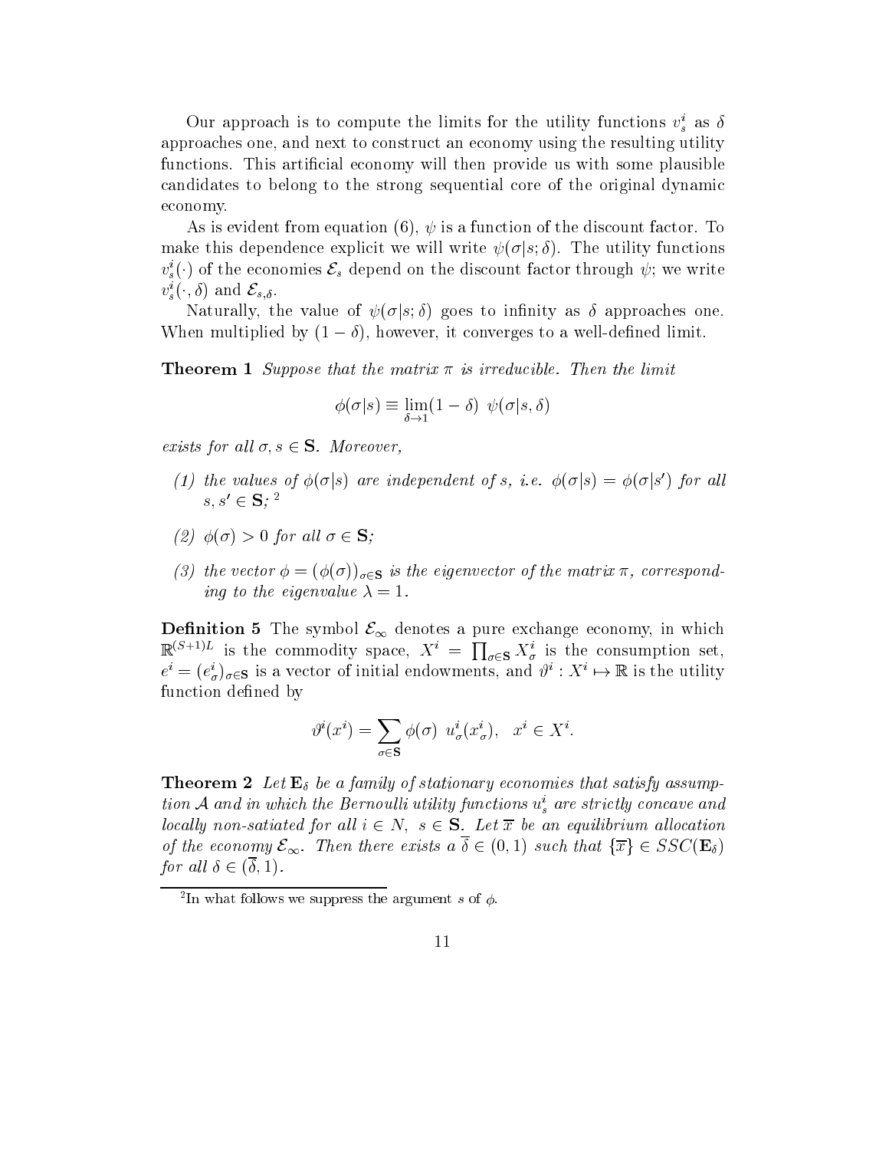Our approach is to compute the limits for the utility functions  $v_s^i$  as  $\delta$ approaches one, and next to construct an economy using the resulting utility functions. This artificial economy will then provide us with some plausible candidates to belong to the strong sequential core of the original dynamic economy.

As is evident from equation (6),  $\psi$  is a function of the discount factor. To make this dependence explicit we will write  $\psi(\sigma|s;\delta)$ . The utility functions  $v_{s}^{i}(\cdot)$  of the economies  $\mathcal{E}_{s}$  depend on the discount factor through  $\psi;$  we write  $v_s^i(\cdot,\delta)$  and  $\mathcal{E}_{s,\delta}$ .

Naturally, the value of  $\psi(\sigma|s;\delta)$  goes to infinity as  $\delta$  approaches one. When multiplied by  $(1 - \delta)$ , however, it converges to a well-defined limit.

**Theorem 1** Suppose that the matrix  $\pi$  is irreducible. Then the limit

$$
\phi(\sigma|s) \equiv \lim_{\delta \to 1} (1-\delta) \ \psi(\sigma|s,\delta)
$$

exists for all  $\sigma, s \in \mathbf{S}$ . Moreover,

- (1) the values of  $\phi(\sigma|s)$  are independent of s, i.e.  $\phi(\sigma|s) = \phi(\sigma|s')$  for all  $s, s' \in S$ ; <sup>2</sup>
- (2)  $\phi(\sigma) > 0$  for all  $\sigma \in \mathbf{S}$ ;
- (3) the vector  $\phi = (\phi(\sigma))_{\sigma \in \mathbf{S}}$  is the eigenvector of the matrix  $\pi$ , corresponding to the eigenvalue  $\lambda = 1$ .

**Definition 5** The symbol  $\mathcal{E}_{\infty}$  denotes a pure exchange economy, in which  $\mathbb{R}^{(S+1)L}$  is the commodity space,  $X^i = \prod_{\sigma \in S} X^i_{\sigma}$  is the consumption set,  $e^i = (e^i_\sigma)_{\sigma \in \mathbf{S}}$  is a vector of initial endowments, and  $\vartheta^i : X^i \mapsto \mathbb{R}$  is the utility function defined by

$$
\vartheta^i(x^i) = \sum_{\sigma \in \mathbf{S}} \phi(\sigma) \ u^i_{\sigma}(x^i_{\sigma}), \quad x^i \in X^i.
$$

**Theorem 2** Let  $\mathbf{E}_{\delta}$  be a family of stationary economies that satisfy assumption A and in which the Bernoulli utility functions  $u_s^i$  are strictly concave and locally non-satiated for all  $i \in N$ ,  $s \in S$ . Let  $\overline{x}$  be an equilibrium allocation of the economy  $\mathcal{E}_{\infty}$ . Then there exists  $a \overline{\delta} \in (0,1)$  such that  $\{\overline{x}\}\in SSC(\mathbf{E}_{\delta})$ for all  $\delta \in (\delta, 1)$ .

 $\lceil$  111 what follows we suppress the argument  $s$  of  $\varphi$ .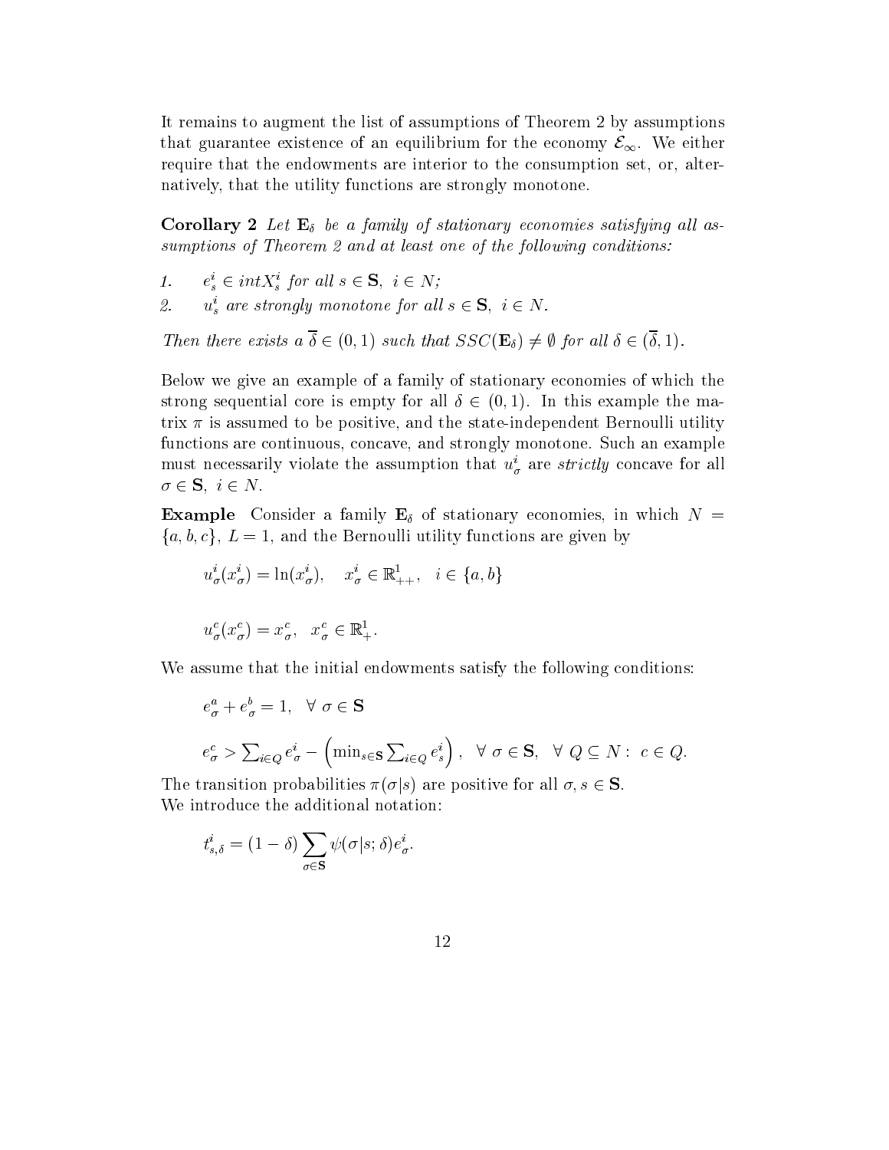It remains to augment the list of assumptions of Theorem 2 by assumptions that guarantee existence of an equilibrium for the economy  $\mathcal{E}_{\infty}$ . We either require that the endowments are interior to the consumption set, or, alternatively, that the utility functions are strongly monotone.

**Corollary 2** Let  $\mathbf{E}_{\delta}$  be a family of stationary economies satisfying all assumptions of Theorem 2 and at least one of the following conditions:

- 1.  $e_s^i \in int X_s^i$  for all  $s \in \mathbf{S}, i \in N;$
- 2.  $u_s^i$  are strongly monotone for all  $s \in \mathbf{S}$ ,  $i \in N$ .

Then there exists  $a \overline{\delta} \in (0,1)$  such that  $SSC(\mathbf{E}_{\delta}) \neq \emptyset$  for all  $\delta \in (\overline{\delta}, 1)$ .

Below we give an example of a family of stationary economies of which the strong sequential core is empty for all  $\delta \in (0, 1)$ . In this example the matrix  $\pi$  is assumed to be positive, and the state-independent Bernoulli utility functions are continuous, concave, and strongly monotone. Such an example must necessarily violate the assumption that  $u^i_\sigma$  are strictly concave for all  $\sigma \in \mathbf{S}, i \in N$ .

**Example** Consider a family  $\mathbf{E}_{\delta}$  of stationary economies, in which  $N =$  ${a, b, c}$ ,  $L = 1$ , and the Bernoulli utility functions are given by

$$
u^i_{\sigma}(x^i_{\sigma}) = \ln(x^i_{\sigma}), \quad x^i_{\sigma} \in \mathbb{R}^1_{++}, \quad i \in \{a, b\}
$$

$$
u^c_{\sigma}(x^c_{\sigma}) = x^c_{\sigma}, \quad x^c_{\sigma} \in \mathbb{R}^1_+.
$$

We assume that the initial endowments satisfy the following conditions:

$$
e_{\sigma}^{a} + e_{\sigma}^{b} = 1, \quad \forall \ \sigma \in \mathbf{S}
$$
  

$$
e_{\sigma}^{c} > \sum_{i \in Q} e_{\sigma}^{i} - (\min_{s \in \mathbf{S}} \sum_{i \in Q} e_{s}^{i}), \quad \forall \ \sigma \in \mathbf{S}, \quad \forall \ Q \subseteq N : c \in Q.
$$

The transition probabilities  $\pi(\sigma|s)$  are positive for all  $\sigma, s \in \mathbf{S}$ . We introduce the additional notation:

$$
t_{s,\delta}^i = (1 - \delta) \sum_{\sigma \in \mathbf{S}} \psi(\sigma | s; \delta) e_{\sigma}^i.
$$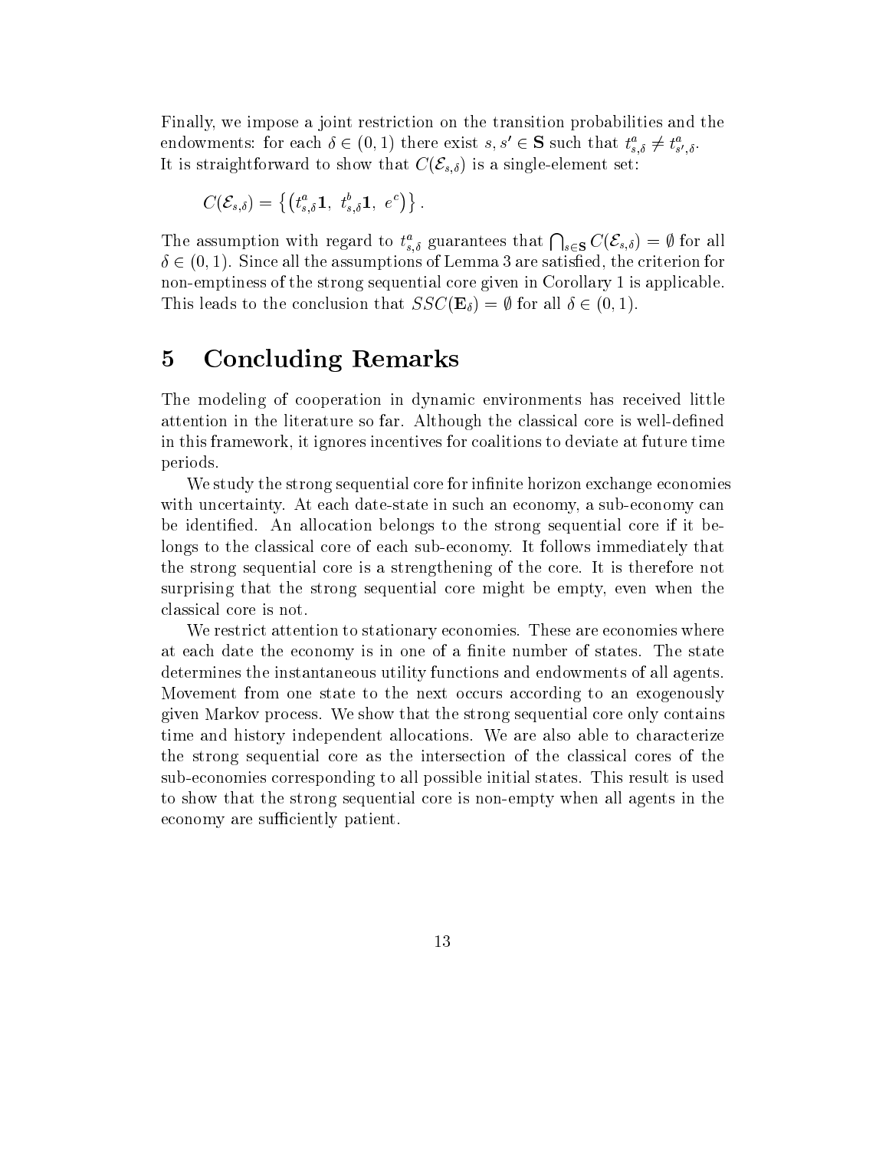Finally, we impose a joint restriction on the transition probabilities and the endowments: for each  $\delta \in (0,1)$  there exist  $s, s' \in S$  such that  $t_{s,\delta}^a \neq t_{s',\delta}^a$ . It is straightforward to show that  $C(\mathcal{E}_{s,\delta})$  is a single-element set:

$$
C(\mathcal{E}_{s,\delta}) = \left\{ \left(t_{s,\delta}^a \mathbf{1}, \ t_{s,\delta}^b \mathbf{1}, \ e^c \right) \right\}.
$$

The assumption with regard to  $t_{s,\delta}^a$  guarantees that  $\bigcap_{s\in S} C(\mathcal{E}_{s,\delta}) = \emptyset$  for all  $\delta \in (0,1)$ . Since all the assumptions of Lemma 3 are satisfied, the criterion for non-emptiness of the strong sequential core given in Corollary 1 is applicable. This leads to the conclusion that  $SSC(\mathbf{E}_{\delta}) = \emptyset$  for all  $\delta \in (0, 1)$ .

#### 5 Concluding Remarks  $\overline{5}$

The modeling of cooperation in dynamic environments has received little attention in the literature so far. Although the classical core is well-defined in this framework, it ignores incentives for coalitions to deviate at future time periods.

We study the strong sequential core for infinite horizon exchange economies with uncertainty. At each date-state in such an economy, a sub-economy can be identified. An allocation belongs to the strong sequential core if it belongs to the classical core of each sub-economy. It follows immediately that the strong sequential core is a strengthening of the core. It is therefore not surprising that the strong sequential core might be empty, even when the classical core is not.

We restrict attention to stationary economies. These are economies where at each date the economy is in one of a finite number of states. The state determines the instantaneous utility functions and endowments of all agents. Movement from one state to the next occurs according to an exogenously given Markov process. We show that the strong sequential core only contains time and history independent allocations. We are also able to characterize the strong sequential core as the intersection of the classical cores of the sub-economies corresponding to all possible initial states. This result is used to show that the strong sequential core is non-empty when all agents in the economy are sufficiently patient.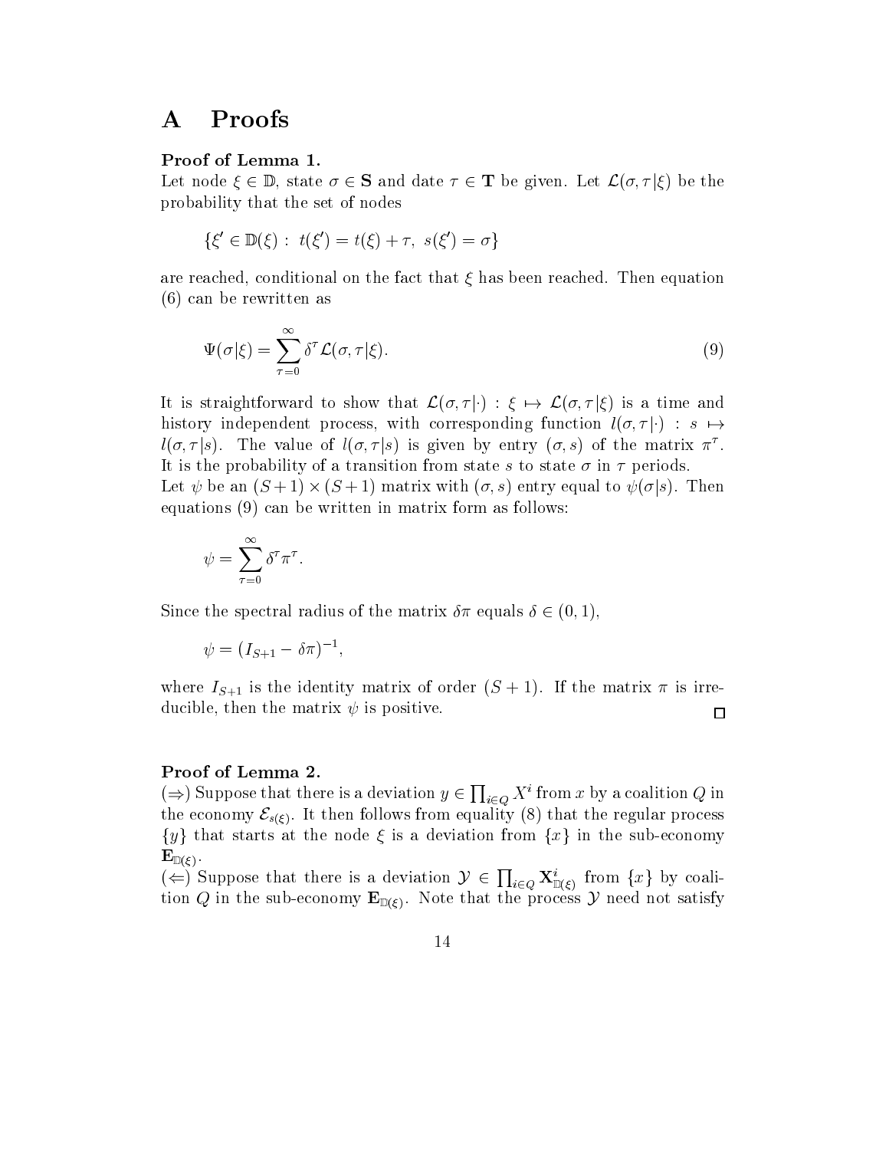#### Proofs  $\bf{A}$

### Proof of Lemma 1.

Let node  $\xi \in \mathbb{D}$ , state  $\sigma \in \mathbf{S}$  and date  $\tau \in \mathbf{T}$  be given. Let  $\mathcal{L}(\sigma, \tau | \xi)$  be the probability that the set of nodes

$$
\{\xi' \in \mathbb{D}(\xi) : t(\xi') = t(\xi) + \tau, s(\xi') = \sigma\}
$$

are reached, conditional on the fact that  $\xi$  has been reached. Then equation (6) can be rewritten as

$$
\Psi(\sigma|\xi) = \sum_{\tau=0}^{\infty} \delta^{\tau} \mathcal{L}(\sigma, \tau|\xi). \tag{9}
$$

It is straightforward to show that  $\mathcal{L}(\sigma, \tau | \cdot) : \xi \mapsto \mathcal{L}(\sigma, \tau | \xi)$  is a time and history independent process, with corresponding function  $l(\sigma, \tau|\cdot)$  :  $s \mapsto$  $l(\sigma, \tau|s)$ . The value of  $l(\sigma, \tau|s)$  is given by entry  $(\sigma, s)$  of the matrix  $\pi^{\tau}$ . It is the probability of a transition from state s to state  $\sigma$  in  $\tau$  periods. Let  $\psi$  be an  $(S+1) \times (S+1)$  matrix with  $(\sigma, s)$  entry equal to  $\psi(\sigma|s)$ . Then equations (9) can be written in matrix form as follows:

$$
\psi = \sum_{\tau=0}^{\infty} \delta^{\tau} \pi^{\tau}.
$$

Since the spectral radius of the matrix  $\delta \pi$  equals  $\delta \in (0, 1)$ ,

$$
\psi = (I_{S+1} - \delta \pi)^{-1},
$$

where  $I_{S+1}$  is the identity matrix of order  $(S + 1)$ . If the matrix  $\pi$  is irreducible, then the matrix  $\psi$  is positive.  $\Box$ 

### Proof of Lemma 2.

 $(\Rightarrow)$  Suppose that there is a deviation  $y \in \prod_{i \in Q} X^i$  from x by a coalition Q in the economy  $\mathcal{E}_{s(\xi)}$ . It then follows from equality (8) that the regular process  $\{y\}$  that starts at the node  $\xi$  is a deviation from  $\{x\}$  in the sub-economy  $\mathbf{E}_{\mathbb{D}(\varepsilon)}$  .

 $(\Leftarrow)$  Suppose that there is a deviation  $\mathcal{Y} \in \prod_{i \in Q} \mathbf{X}_{\mathbb{D}(f)}^i$  from  $\{x\}$  by coalition Q in the sub-economy  $\mathbf{E}_{\mathbb{D}(\xi)}$ . Note that the process  $\mathcal{Y}$  need not satisfy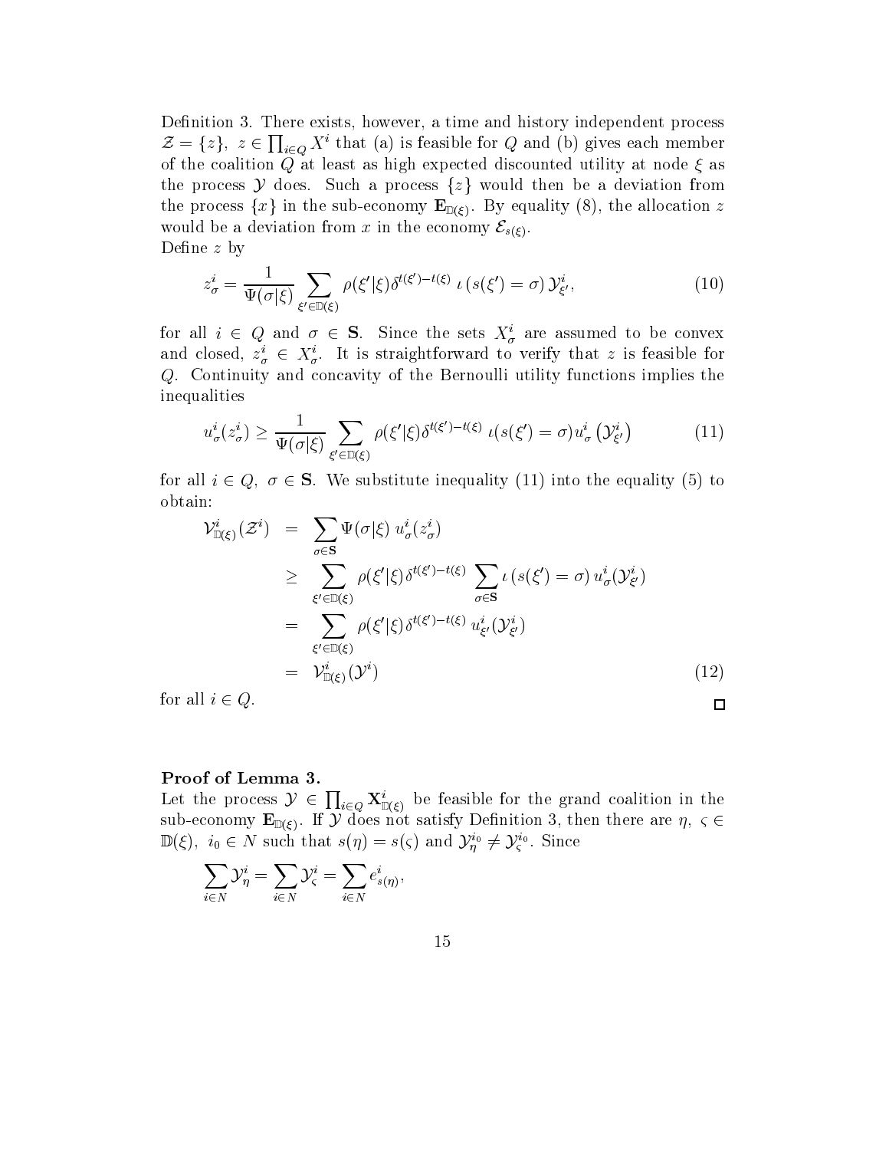Definition 3. There exists, however, a time and history independent process  $\mathcal{Z} = \{z\}, z \in \prod_{i \in Q} X^i$  that (a) is feasible for Q and (b) gives each member of the coalition  $\overline{Q}$  at least as high expected discounted utility at node  $\xi$  as the process  $\mathcal Y$  does. Such a process  $\{z\}$  would then be a deviation from the process  $\{x\}$  in the sub-economy  $\mathbf{E}_{\mathbb{D}(\xi)}$ . By equality (8), the allocation z would be a deviation from x in the economy  $\mathcal{E}_{s(\xi)}$ . Define  $z$  by

$$
z_{\sigma}^{i} = \frac{1}{\Psi(\sigma|\xi)} \sum_{\xi' \in \mathbb{D}(\xi)} \rho(\xi'|\xi) \delta^{t(\xi') - t(\xi)} \iota(s(\xi') = \sigma) \mathcal{Y}_{\xi'}^{i}, \tag{10}
$$

for all  $i \in Q$  and  $\sigma \in S$ . Since the sets  $X^i_{\sigma}$  are assumed to be convex and closed,  $z^i_{\sigma} \in X^i_{\sigma}$ . It is straightforward to verify that z is feasible for Q. Continuity and concavity of the Bernoulli utility functions implies the inequalities

$$
u_{\sigma}^{i}(z_{\sigma}^{i}) \ge \frac{1}{\Psi(\sigma|\xi)} \sum_{\xi' \in \mathbb{D}(\xi)} \rho(\xi'|\xi) \delta^{t(\xi') - t(\xi)} \iota(s(\xi') = \sigma) u_{\sigma}^{i}(\mathcal{Y}_{\xi'}^{i})
$$
(11)

for all  $i \in Q$ ,  $\sigma \in S$ . We substitute inequality (11) into the equality (5) to obtain:

$$
\mathcal{V}_{\mathbb{D}(\xi)}^{i}(\mathcal{Z}^{i}) = \sum_{\sigma \in \mathbf{S}} \Psi(\sigma | \xi) u_{\sigma}^{i}(z_{\sigma}^{i})
$$
\n
$$
\geq \sum_{\xi' \in \mathbb{D}(\xi)} \rho(\xi' | \xi) \delta^{t(\xi') - t(\xi)} \sum_{\sigma \in \mathbf{S}} \iota(s(\xi') = \sigma) u_{\sigma}^{i}(\mathcal{Y}_{\xi'}^{i})
$$
\n
$$
= \sum_{\xi' \in \mathbb{D}(\xi)} \rho(\xi' | \xi) \delta^{t(\xi') - t(\xi)} u_{\xi'}^{i}(\mathcal{Y}_{\xi'}^{i})
$$
\n
$$
= \mathcal{V}_{\mathbb{D}(\xi)}^{i}(\mathcal{Y}^{i})
$$
\n(12)

for all  $i \in Q$ .

### Proof of Lemma 3.

Let the process  $\mathcal{Y} \in \prod_{i \in Q} \mathbf{X}_{\mathbb{D}(\xi)}^i$  be feasible for the grand coalition in the sub-economy  $\mathbf{E}_{\mathbb{D}(\xi)}$ . If  $\mathcal{Y}$  does not satisfy Definition 3, then there are  $\eta$ ,  $\zeta \in$  $\mathbb{D}(\xi), i_0 \in N$  such that  $s(\eta) = s(\zeta)$  and  $\mathcal{Y}_n^{i_0} \neq \mathcal{Y}_\zeta^{i_0}$ . Since

$$
\sum_{i\in N} {\mathcal Y}_\eta^i = \sum_{i\in N} {\mathcal Y}_\varsigma^i = \sum_{i\in N} e^i_{s(\eta)},
$$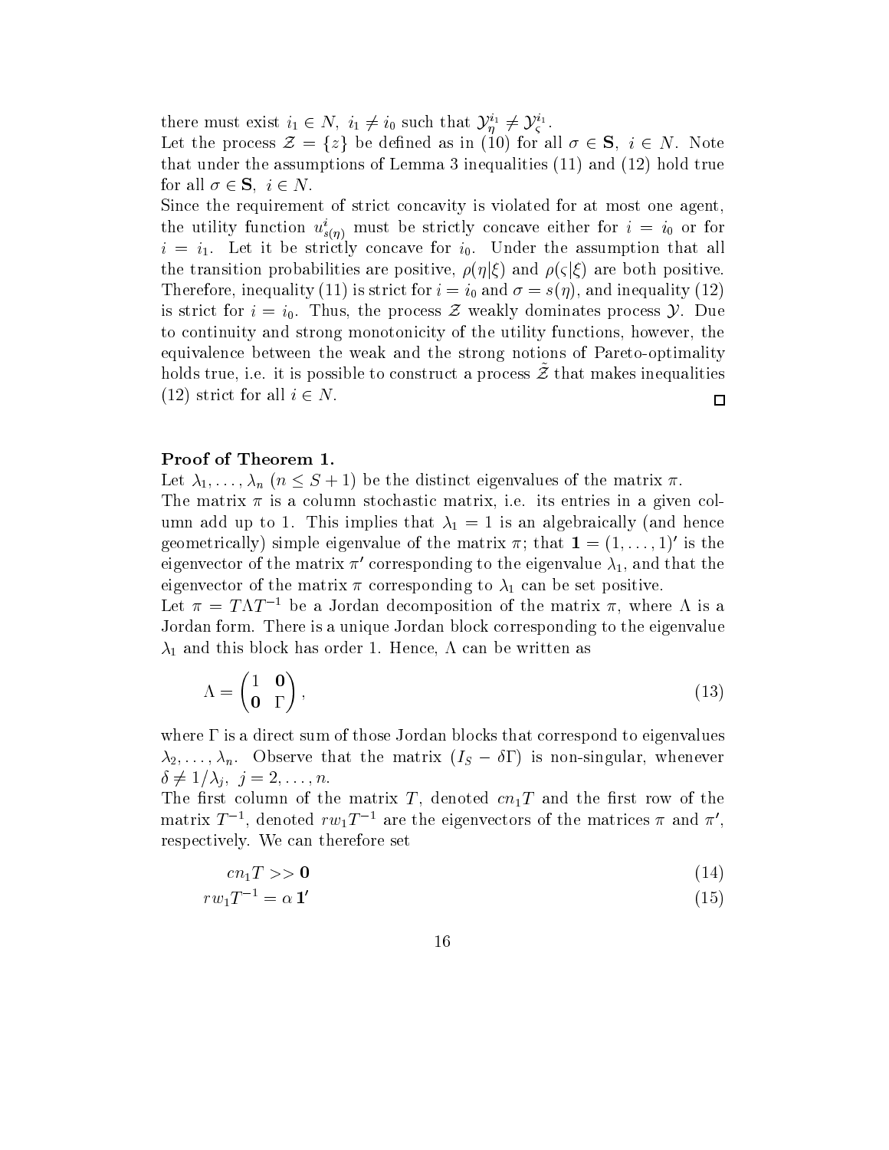there must exist  $i_1 \in N$ ,  $i_1 \neq i_0$  such that  $\mathcal{Y}_n^{i_1} \neq \mathcal{Y}_\varsigma^{i_1}$ .

Let the process  $\mathcal{Z} = \{z\}$  be defined as in (10) for all  $\sigma \in \mathbf{S}$ ,  $i \in N$ . Note that under the assumptions of Lemma 3 inequalities (11) and (12) hold true for all  $\sigma \in \mathbf{S}$ ,  $i \in N$ .

Since the requirement of strict concavity is violated for at most one agent, the utility function  $u^i_{s(\eta)}$  must be strictly concave either for  $i = i_0$  or for  $i = i_1$ . Let it be strictly concave for  $i_0$ . Under the assumption that all the transition probabilities are positive,  $\rho(\eta|\xi)$  and  $\rho(\zeta|\xi)$  are both positive. Therefore, inequality (11) is strict for  $i = i_0$  and  $\sigma = s(\eta)$ , and inequality (12) is strict for  $i = i_0$ . Thus, the process Z weakly dominates process  $\mathcal{Y}$ . Due to continuity and strong monotonicity of the utility functions, however, the equivalence between the weak and the strong notions of Pareto-optimality  $\mu$ olds true, i.e. it is possible to construct a process  $\omega$  that makes inequalities (12) strict for all  $i \in N$ .  $\Box$ 

#### Proof of Theorem 1.

Let  $\lambda_1,\ldots,\lambda_n$   $(n \leq S + 1)$  be the distinct eigenvalues of the matrix  $\pi$ .

The matrix  $\pi$  is a column stochastic matrix, i.e. its entries in a given column add up to 1. This implies that  $\lambda_1 = 1$  is an algebraically (and hence geometrically) simple eigenvalue of the matrix  $\pi$ ; that  $\mathbf{1} = (1,\ldots,1)'$  is the eigenvector of the matrix  $\pi'$  corresponding to the eigenvalue  $\lambda_1$ , and that the eigenvector of the matrix  $\pi$  corresponding to  $\lambda_1$  can be set positive.

Let  $\pi = T\Lambda T^{-1}$  be a Jordan decomposition of the matrix  $\pi$ , where  $\Lambda$  is a Jordan form. There is a unique Jordan block corresponding to the eigenvalue  $\lambda_1$  and this block has order 1. Hence,  $\Lambda$  can be written as

$$
\Lambda = \begin{pmatrix} 1 & \mathbf{0} \\ \mathbf{0} & \Gamma \end{pmatrix},\tag{13}
$$

where  $\Gamma$  is a direct sum of those Jordan blocks that correspond to eigenvalues  $\lambda_2,\ldots,\lambda_n$ . Observe that the matrix  $(I_S - \delta \Gamma)$  is non-singular, whenever  $\delta \neq 1/\lambda_i, \; j = 2,\ldots,n.$ 

The first column of the matrix T, denoted  $cn_1T$  and the first row of the matrix  $T^{-1}$ , denoted  $rw_1T^{-1}$  are the eigenvectors of the matrices  $\pi$  and  $\pi'$ , respectively. We can therefore set

$$
cn_1T>>\mathbf{0}\tag{14}
$$

$$
rw_1T^{-1} = \alpha \mathbf{1}' \tag{15}
$$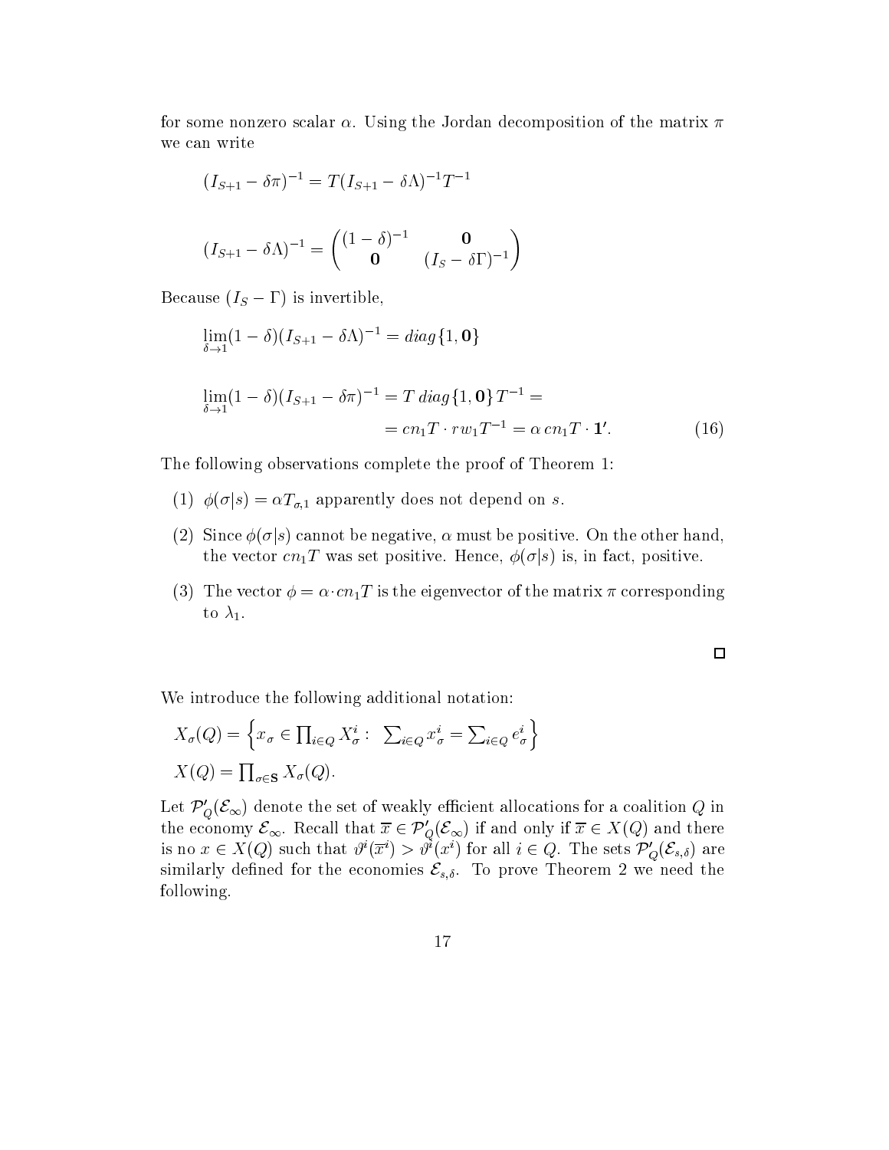for some nonzero scalar  $\alpha$ . Using the Jordan decomposition of the matrix  $\pi$ we can write

$$
(I_{S+1} - \delta \pi)^{-1} = T(I_{S+1} - \delta \Lambda)^{-1} T^{-1}
$$

$$
(I_{S+1} - \delta \Lambda)^{-1} = \begin{pmatrix} (1 - \delta)^{-1} & \mathbf{0} \\ \mathbf{0} & (I_S - \delta \Gamma)^{-1} \end{pmatrix}
$$

Because  $(I_S - \Gamma)$  is invertible,

$$
\lim_{\delta \to 1} (1 - \delta)(I_{S+1} - \delta \Lambda)^{-1} = diag\{1, \mathbf{0}\}
$$
  

$$
\lim_{\delta \to 1} (1 - \delta)(I_{S+1} - \delta \pi)^{-1} = T \operatorname{diag}\{1, \mathbf{0}\} T^{-1} =
$$
  

$$
= cn_1 T \cdot rw_1 T^{-1} = \alpha cn_1 T \cdot \mathbf{1}'.
$$
 (16)

The following observations complete the proof of Theorem 1:

- (1)  $\phi(\sigma|s) = \alpha T_{\sigma,1}$  apparently does not depend on  $s.$
- (2) Since  $\phi(\sigma|s)$  cannot be negative,  $\alpha$  must be positive. On the other hand, the vector  $cn_1T$  was set positive. Hence,  $\phi(\sigma|s)$  is, in fact, positive.
- (3) The vector  $\phi = \alpha \cdot cn_1T$  is the eigenvector of the matrix  $\pi$  corresponding to  $\lambda_1$ .

 $\Box$ 

We introduce the following additional notation:

$$
X_{\sigma}(Q) = \left\{ x_{\sigma} \in \prod_{i \in Q} X_{\sigma}^{i} : \sum_{i \in Q} x_{\sigma}^{i} = \sum_{i \in Q} e_{\sigma}^{i} \right\}
$$

$$
X(Q) = \prod_{\sigma \in \mathbf{S}} X_{\sigma}(Q).
$$

Let  $\mathcal{P}_{Q}(\mathcal{E}_{\infty})$  denote the set of weakly efficient allocations for a coalition Q in the economy  $\mathcal{E}_{\infty}$ . Recall that  $\overline{x} \in \mathcal{P}'_Q(\mathcal{E}_{\infty})$  if and only if  $\overline{x} \in X(Q)$  and there is no  $x \in X(Q)$  such that  $\vartheta^i(\overline{x}^i) > \vartheta^i(x^i)$  for all  $i \in Q$ . The sets  $\mathcal{P}'_Q(\mathcal{E}_{s,\delta})$  are similarly defined for the economies  $\mathcal{E}_{s,\delta}$ . To prove Theorem 2 we need the following.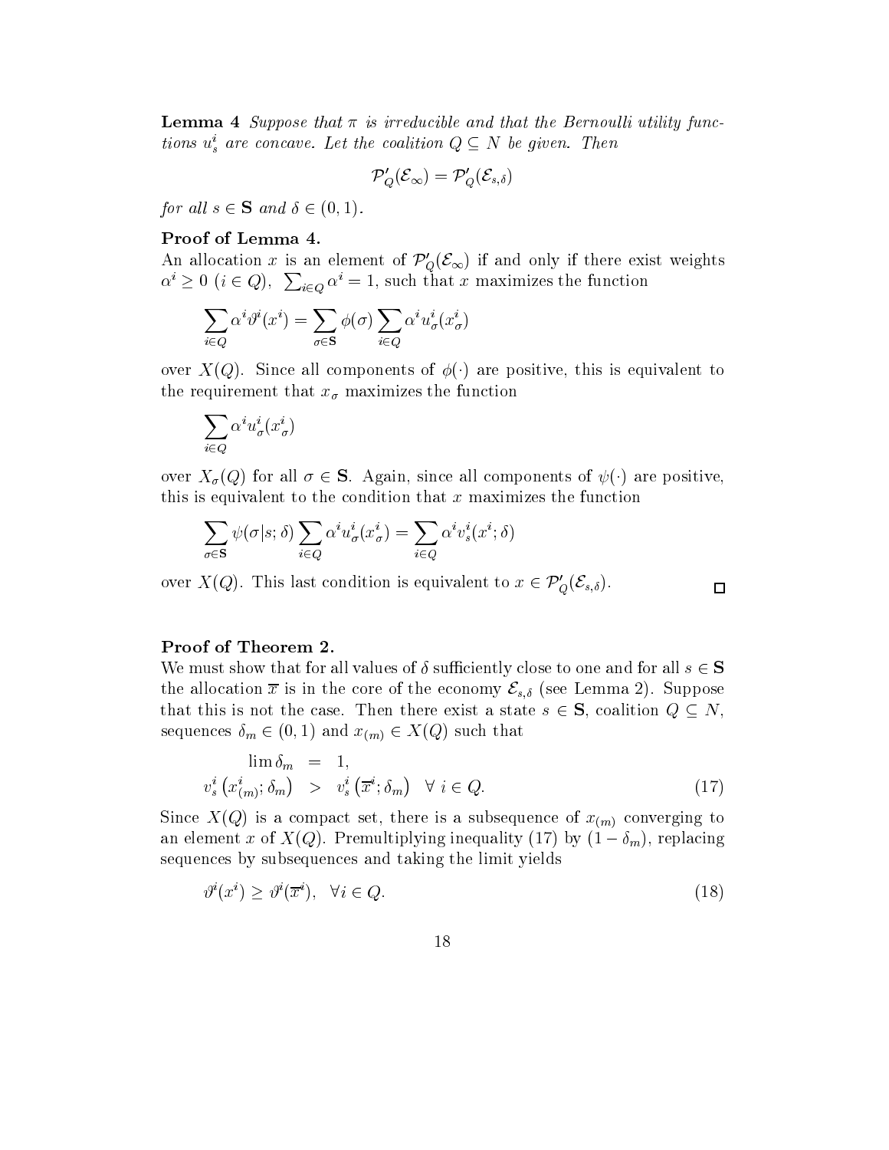**Lemma 4** Suppose that  $\pi$  is irreducible and that the Bernoulli utility functions  $u_s^i$  are concave. Let the coalition  $Q \subseteq N$  be given. Then

$$
\mathcal{P}_Q'(\mathcal{E}_\infty)=\mathcal{P}_Q'(\mathcal{E}_{s,\delta})
$$

for all  $s \in \mathbf{S}$  and  $\delta \in (0, 1)$ .

### Proof of Lemma 4.

An allocation x is an element of  $\mathcal{P}'_Q(\mathcal{E}_{\infty})$  if and only if there exist weights  $\alpha^i \geq 0$   $(i \in Q)$ ,  $\sum_{i \in Q} \alpha^i = 1$ , such that x maximizes the function

$$
\sum_{i \in Q} \alpha^i \vartheta^i(x^i) = \sum_{\sigma \in \mathbf{S}} \phi(\sigma) \sum_{i \in Q} \alpha^i u^i_\sigma(x^i_\sigma)
$$

over  $X(Q)$ . Since all components of  $\phi(\cdot)$  are positive, this is equivalent to the requirement that  $x_{\sigma}$  maximizes the function

$$
\sum_{i\in Q}\alpha^iu^i_\sigma(x^i_\sigma)
$$

over  $X_{\sigma}(Q)$  for all  $\sigma \in \mathbf{S}$ . Again, since all components of  $\psi(\cdot)$  are positive, this is equivalent to the condition that  $x$  maximizes the function

$$
\sum_{\sigma \in \mathbf{S}} \psi(\sigma | s; \delta) \sum_{i \in Q} \alpha^i u^i_{\sigma}(x^i_{\sigma}) = \sum_{i \in Q} \alpha^i v^i_s(x^i; \delta)
$$

over  $X(Q)$ . This last condition is equivalent to  $x \in \mathcal{P}'_Q(\mathcal{E}_{s,\delta})$ .

## Proof of Theorem 2.

We must show that for all values of  $\delta$  sufficiently close to one and for all  $s \in S$ the allocation  $\bar{x}$  is in the core of the economy  $\mathcal{E}_{s,\delta}$  (see Lemma 2). Suppose that this is not the case. Then there exist a state  $s \in \mathbf{S}$ , coalition  $Q \subseteq N$ , sequences  $\delta_m \in (0, 1)$  and  $x_{(m)} \in X(Q)$  such that

$$
\lim_{i} \delta_{m} = 1,
$$
  

$$
v_{s}^{i} (x_{(m)}^{i}; \delta_{m}) > v_{s}^{i} (\overline{x}^{i}; \delta_{m}) \quad \forall i \in Q.
$$
 (17)

 $\Box$ 

Since  $X(Q)$  is a compact set, there is a subsequence of  $x_{(m)}$  converging to an element x of  $X(Q)$ . Premultiplying inequality (17) by  $(1 - \delta_m)$ , replacing sequences by subsequences and taking the limit yields

$$
\vartheta^i(x^i) \ge \vartheta^i(\overline{x}^i), \quad \forall i \in Q. \tag{18}
$$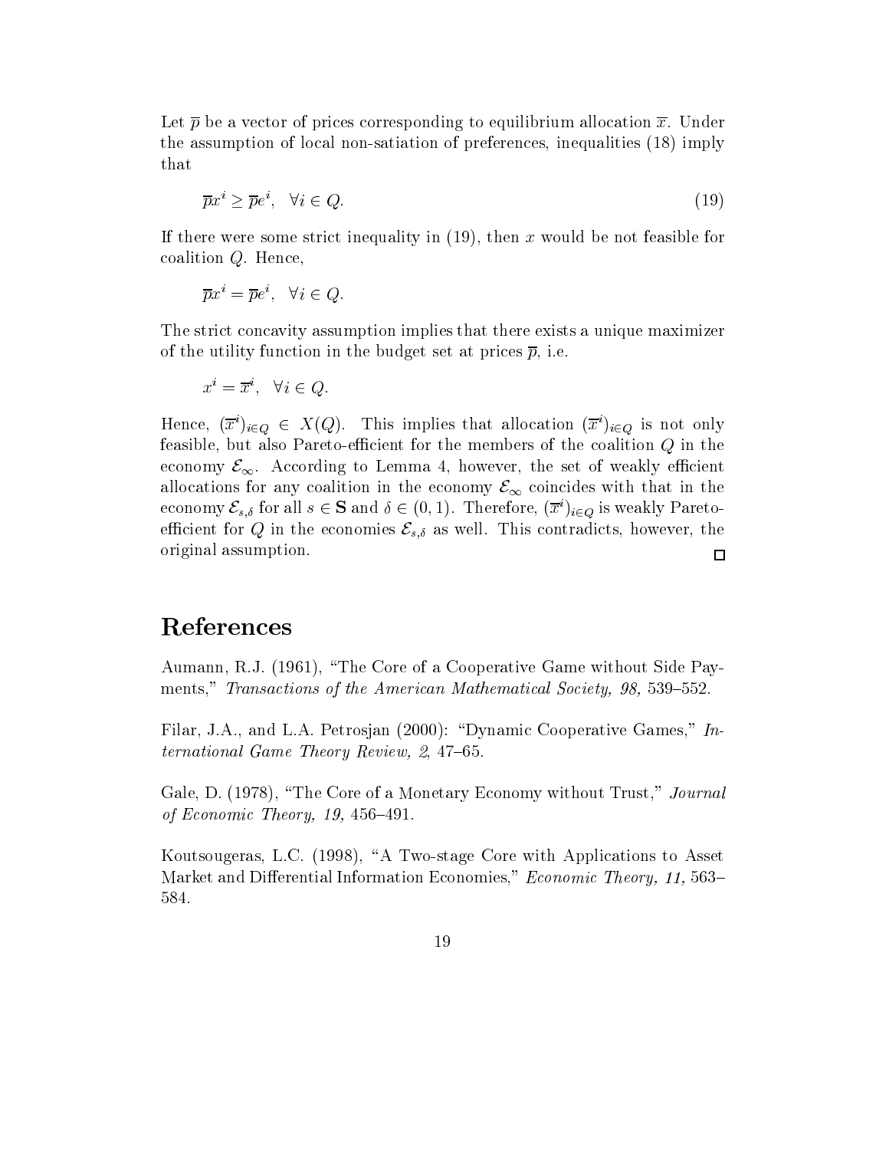Let  $\bar{p}$  be a vector of prices corresponding to equilibrium allocation  $\bar{x}$ . Under the assumption of local non-satiation of preferences, inequalities (18) imply that

$$
\overline{p}x^i \ge \overline{p}e^i, \quad \forall i \in Q. \tag{19}
$$

If there were some strict inequality in  $(19)$ , then x would be not feasible for coalition Q. Hence,

$$
\overline{p}x^i = \overline{p}e^i, \quad \forall i \in Q.
$$

The strict concavity assumption implies that there exists a unique maximizer of the utility function in the budget set at prices  $\bar{p}$ , i.e.

$$
x^i = \overline{x}^i, \quad \forall i \in Q.
$$

Hence,  $(\overline{x}^i)_{i\in Q} \in X(Q)$ . This implies that allocation  $(\overline{x}^i)_{i\in Q}$  is not only feasible, but also Pareto-efficient for the members of the coalition  $Q$  in the economy  $\mathcal{E}_{\infty}$ . According to Lemma 4, however, the set of weakly efficient allocations for any coalition in the economy  $\mathcal{E}_{\infty}$  coincides with that in the economy  $\mathcal{E}_{s,\delta}$  for all  $s \in \mathbf{S}$  and  $\delta \in (0,1)$ . Therefore,  $(\overline{x}^i)_{i \in Q}$  is weakly Paretoefficient for Q in the economies  $\mathcal{E}_{s,\delta}$  as well. This contradicts, however, the original assumption.  $\Box$ 

## References

Aumann, R.J. (1961), "The Core of a Cooperative Game without Side Payments," Transactions of the American Mathematical Society, 98, 539–552.

Filar, J.A., and L.A. Petrosjan (2000): "Dynamic Cooperative Games,"  $In$ ternational Game Theory Review,  $2, 47-65$ .

Gale, D. (1978), "The Core of a Monetary Economy without Trust," Journal of Economic Theory, 19, 456-491.

Koutsougeras, L.C. (1998), "A Two-stage Core with Applications to Asset Market and Differential Information Economies," Economic Theory, 11, 563-584.